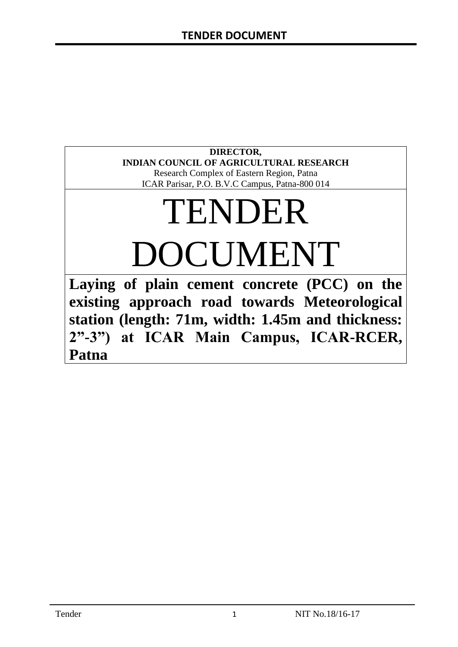# **DIRECTOR, INDIAN COUNCIL OF AGRICULTURAL RESEARCH**

Research Complex of Eastern Region, Patna ICAR Parisar, P.O. B.V.C Campus, Patna-800 014

# TENDER DOCUMENT

**Laying of plain cement concrete (PCC) on the existing approach road towards Meteorological station (length: 71m, width: 1.45m and thickness: 2"-3") at ICAR Main Campus, ICAR-RCER, Patna**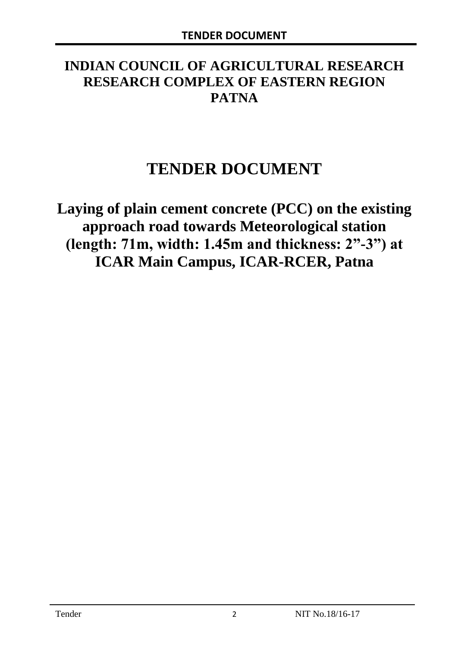# **INDIAN COUNCIL OF AGRICULTURAL RESEARCH RESEARCH COMPLEX OF EASTERN REGION PATNA**

# **TENDER DOCUMENT**

**Laying of plain cement concrete (PCC) on the existing approach road towards Meteorological station (length: 71m, width: 1.45m and thickness: 2"-3") at ICAR Main Campus, ICAR-RCER, Patna**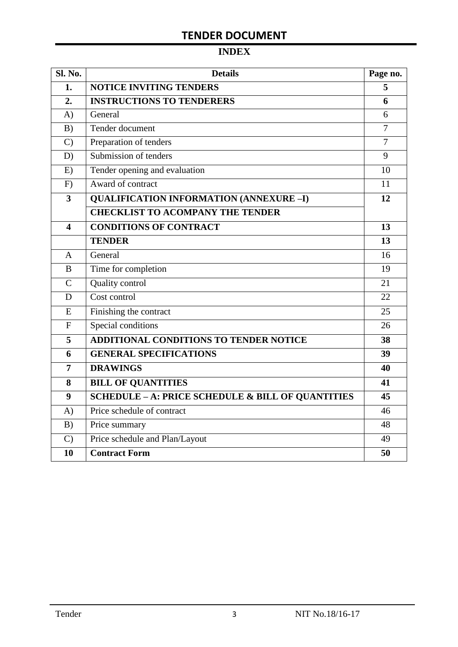# **INDEX**

| Sl. No.                 | <b>Details</b>                                    | Page no.       |  |  |
|-------------------------|---------------------------------------------------|----------------|--|--|
| 1.                      | <b>NOTICE INVITING TENDERS</b>                    |                |  |  |
| 2.                      | <b>INSTRUCTIONS TO TENDERERS</b>                  | 6              |  |  |
| A)                      | General                                           | 6              |  |  |
| B)                      | Tender document                                   | 7              |  |  |
| $\mathcal{C}$           | Preparation of tenders                            | $\overline{7}$ |  |  |
| D)                      | Submission of tenders                             | 9              |  |  |
| E)                      | Tender opening and evaluation                     | 10             |  |  |
| F)                      | Award of contract                                 | 11             |  |  |
| $\overline{\mathbf{3}}$ | <b>QUALIFICATION INFORMATION (ANNEXURE-I)</b>     | 12             |  |  |
|                         | <b>CHECKLIST TO ACOMPANY THE TENDER</b>           |                |  |  |
| 4                       | <b>CONDITIONS OF CONTRACT</b>                     | 13             |  |  |
|                         | <b>TENDER</b>                                     | 13             |  |  |
| $\overline{A}$          | General                                           | 16             |  |  |
| B                       | Time for completion                               | 19             |  |  |
| $\overline{C}$          | Quality control                                   | 21             |  |  |
| D                       | Cost control                                      | 22             |  |  |
| E                       | Finishing the contract                            | 25             |  |  |
| $\mathbf{F}$            | Special conditions                                | 26             |  |  |
| 5                       | <b>ADDITIONAL CONDITIONS TO TENDER NOTICE</b>     | 38             |  |  |
| 6                       | <b>GENERAL SPECIFICATIONS</b>                     | 39             |  |  |
| $\overline{7}$          | <b>DRAWINGS</b>                                   | 40             |  |  |
| 8                       | <b>BILL OF QUANTITIES</b>                         | 41             |  |  |
| 9                       | SCHEDULE - A: PRICE SCHEDULE & BILL OF QUANTITIES | 45             |  |  |
| A)                      | Price schedule of contract                        | 46             |  |  |
| B)                      | Price summary                                     | 48             |  |  |
| $\mathcal{C}$           | Price schedule and Plan/Layout                    | 49             |  |  |
| 10                      | <b>Contract Form</b>                              | 50             |  |  |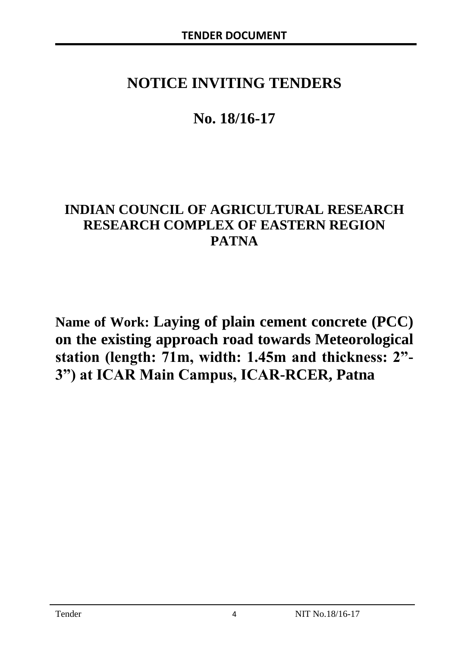# **NOTICE INVITING TENDERS**

# **No. 18/16-17**

# **INDIAN COUNCIL OF AGRICULTURAL RESEARCH RESEARCH COMPLEX OF EASTERN REGION PATNA**

**Name of Work: Laying of plain cement concrete (PCC) on the existing approach road towards Meteorological station (length: 71m, width: 1.45m and thickness: 2"- 3") at ICAR Main Campus, ICAR-RCER, Patna**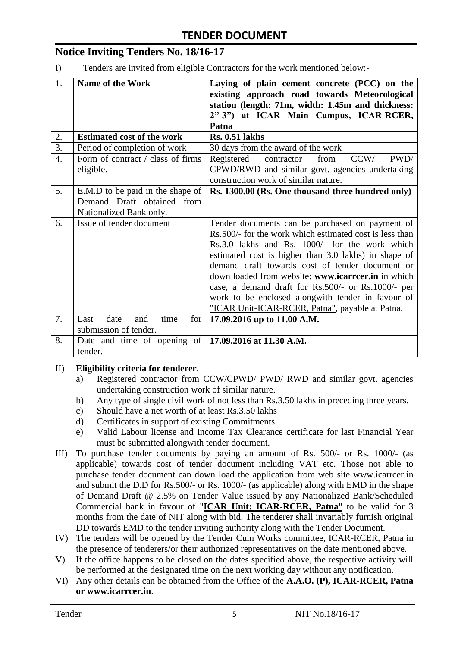# **Notice Inviting Tenders No. 18/16-17**

I) Tenders are invited from eligible Contractors for the work mentioned below:-

| 1.               | <b>Name of the Work</b>                                      | Laying of plain cement concrete (PCC) on the<br>existing approach road towards Meteorological |
|------------------|--------------------------------------------------------------|-----------------------------------------------------------------------------------------------|
|                  |                                                              | station (length: 71m, width: 1.45m and thickness:<br>2"-3") at ICAR Main Campus, ICAR-RCER,   |
|                  |                                                              | Patna                                                                                         |
| 2.               | <b>Estimated cost of the work</b>                            | <b>Rs. 0.51 lakhs</b>                                                                         |
| $\overline{3}$ . | Period of completion of work                                 | 30 days from the award of the work                                                            |
| $\overline{4}$ . | Form of contract / class of firms                            | CCW/<br>PWD/<br>from<br>Registered<br>contractor                                              |
|                  | eligible.                                                    | CPWD/RWD and similar govt. agencies undertaking                                               |
|                  |                                                              | construction work of similar nature.                                                          |
| 5.               | E.M.D to be paid in the shape of                             | Rs. 1300.00 (Rs. One thousand three hundred only)                                             |
|                  | Demand Draft obtained from                                   |                                                                                               |
|                  | Nationalized Bank only.                                      |                                                                                               |
| 6.               | Issue of tender document                                     | Tender documents can be purchased on payment of                                               |
|                  |                                                              | Rs.500/- for the work which estimated cost is less than                                       |
|                  |                                                              | Rs.3.0 lakhs and Rs. 1000/- for the work which                                                |
|                  |                                                              | estimated cost is higher than 3.0 lakhs) in shape of                                          |
|                  |                                                              | demand draft towards cost of tender document or                                               |
|                  |                                                              | down loaded from website: www.icarreer.in in which                                            |
|                  |                                                              | case, a demand draft for Rs.500/- or Rs.1000/- per                                            |
|                  |                                                              | work to be enclosed alongwith tender in favour of                                             |
|                  |                                                              | "ICAR Unit-ICAR-RCER, Patna", payable at Patna.                                               |
| 7.               | date<br>Last<br>time<br>for<br>and                           | 17.09.2016 up to 11.00 A.M.                                                                   |
|                  | submission of tender.                                        |                                                                                               |
| 8.               | Date and time of opening of $\vert$ 17.09.2016 at 11.30 A.M. |                                                                                               |
|                  | tender.                                                      |                                                                                               |

#### II) **Eligibility criteria for tenderer.**

- a) Registered contractor from CCW/CPWD/ PWD/ RWD and similar govt. agencies undertaking construction work of similar nature.
- b) Any type of single civil work of not less than Rs.3.50 lakhs in preceding three years.
- c) Should have a net worth of at least Rs.3.50 lakhs
- d) Certificates in support of existing Commitments.
- e) Valid Labour license and Income Tax Clearance certificate for last Financial Year must be submitted alongwith tender document.
- III) To purchase tender documents by paying an amount of Rs. 500/- or Rs. 1000/- (as applicable) towards cost of tender document including VAT etc. Those not able to purchase tender document can down load the application from web site www.icarrcer.in and submit the D.D for Rs.500/- or Rs. 1000/- (as applicable) along with EMD in the shape of Demand Draft @ 2.5% on Tender Value issued by any Nationalized Bank/Scheduled Commercial bank in favour of "**ICAR Unit: ICAR-RCER, Patna**" to be valid for 3 months from the date of NIT along with bid. The tenderer shall invariably furnish original DD towards EMD to the tender inviting authority along with the Tender Document.
- IV) The tenders will be opened by the Tender Cum Works committee, ICAR-RCER, Patna in the presence of tenderers/or their authorized representatives on the date mentioned above.
- V) If the office happens to be closed on the dates specified above, the respective activity will be performed at the designated time on the next working day without any notification.
- VI) Any other details can be obtained from the Office of the **A.A.O. (P), ICAR-RCER, Patna or www.icarrcer.in**.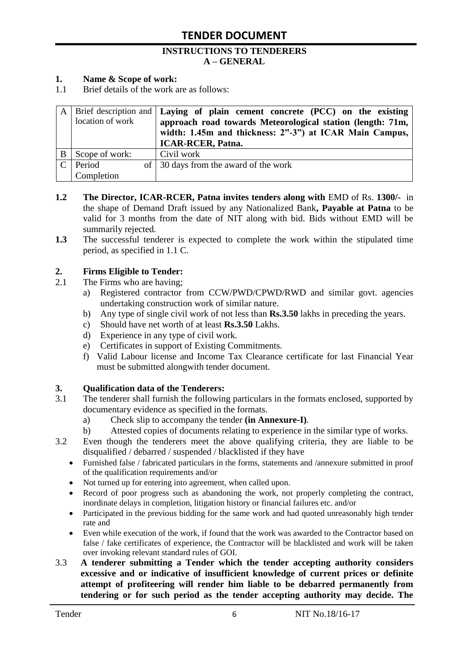#### **INSTRUCTIONS TO TENDERERS A – GENERAL**

#### **1. Name & Scope of work:**

1.1 Brief details of the work are as follows:

|   |                  | A   Brief description and $\vert$ Laying of plain cement concrete (PCC) on the existing |
|---|------------------|-----------------------------------------------------------------------------------------|
|   | location of work | approach road towards Meteorological station (length: 71m,                              |
|   |                  | width: 1.45m and thickness: 2"-3") at ICAR Main Campus,                                 |
|   |                  | <b>ICAR-RCER, Patna.</b>                                                                |
| B | Scope of work:   | Civil work                                                                              |
|   | Period           | of 30 days from the award of the work                                                   |
|   | Completion       |                                                                                         |

- **1.2** The Director, ICAR-RCER, Patna invites tenders along with EMD of Rs. 1300/- in the shape of Demand Draft issued by any Nationalized Bank**, Payable at Patna** to be valid for 3 months from the date of NIT along with bid. Bids without EMD will be summarily rejected.
- **1.3** The successful tenderer is expected to complete the work within the stipulated time period, as specified in 1.1 C.

#### **2. Firms Eligible to Tender:**

- 2.1 The Firms who are having;
	- a) Registered contractor from CCW/PWD/CPWD/RWD and similar govt. agencies undertaking construction work of similar nature.
	- b) Any type of single civil work of not less than **Rs.3.50** lakhs in preceding the years.
	- c) Should have net worth of at least **Rs.3.50** Lakhs.
	- d) Experience in any type of civil work.
	- e) Certificates in support of Existing Commitments.
	- f) Valid Labour license and Income Tax Clearance certificate for last Financial Year must be submitted alongwith tender document.

#### **3. Qualification data of the Tenderers:**

- 3.1 The tenderer shall furnish the following particulars in the formats enclosed, supported by documentary evidence as specified in the formats.
	- a) Check slip to accompany the tender **(in Annexure-I)**.
	- b) Attested copies of documents relating to experience in the similar type of works.
- 3.2 Even though the tenderers meet the above qualifying criteria, they are liable to be disqualified / debarred / suspended / blacklisted if they have
	- Furnished false / fabricated particulars in the forms, statements and /annexure submitted in proof of the qualification requirements and/or
	- Not turned up for entering into agreement, when called upon.
	- Record of poor progress such as abandoning the work, not properly completing the contract, inordinate delays in completion, litigation history or financial failures etc. and/or
	- Participated in the previous bidding for the same work and had quoted unreasonably high tender rate and
	- Even while execution of the work, if found that the work was awarded to the Contractor based on false / fake certificates of experience, the Contractor will be blacklisted and work will be taken over invoking relevant standard rules of GOI.
- 3.3 **A tenderer submitting a Tender which the tender accepting authority considers excessive and or indicative of insufficient knowledge of current prices or definite attempt of profiteering will render him liable to be debarred permanently from tendering or for such period as the tender accepting authority may decide. The**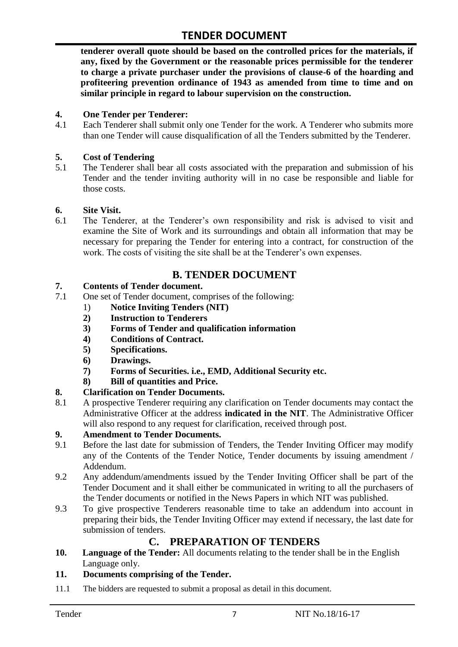**tenderer overall quote should be based on the controlled prices for the materials, if any, fixed by the Government or the reasonable prices permissible for the tenderer to charge a private purchaser under the provisions of clause-6 of the hoarding and profiteering prevention ordinance of 1943 as amended from time to time and on similar principle in regard to labour supervision on the construction.**

#### **4. One Tender per Tenderer:**

4.1 Each Tenderer shall submit only one Tender for the work. A Tenderer who submits more than one Tender will cause disqualification of all the Tenders submitted by the Tenderer.

#### **5. Cost of Tendering**

5.1 The Tenderer shall bear all costs associated with the preparation and submission of his Tender and the tender inviting authority will in no case be responsible and liable for those costs.

#### **6. Site Visit.**

6.1 The Tenderer, at the Tenderer"s own responsibility and risk is advised to visit and examine the Site of Work and its surroundings and obtain all information that may be necessary for preparing the Tender for entering into a contract, for construction of the work. The costs of visiting the site shall be at the Tenderer's own expenses.

### **B. TENDER DOCUMENT**

#### **7. Contents of Tender document.**

- 7.1 One set of Tender document, comprises of the following:
	- 1) **Notice Inviting Tenders (NIT)**
	- **2) Instruction to Tenderers**
	- **3) Forms of Tender and qualification information**
	- **4) Conditions of Contract.**
	- **5) Specifications.**
	- **6) Drawings.**
	- **7) Forms of Securities. i.e., EMD, Additional Security etc.**
	- **8) Bill of quantities and Price.**

#### **8. Clarification on Tender Documents.**

8.1 A prospective Tenderer requiring any clarification on Tender documents may contact the Administrative Officer at the address **indicated in the NIT**. The Administrative Officer will also respond to any request for clarification, received through post.

#### **9. Amendment to Tender Documents.**

- 9.1 Before the last date for submission of Tenders, the Tender Inviting Officer may modify any of the Contents of the Tender Notice, Tender documents by issuing amendment / Addendum.
- 9.2 Any addendum/amendments issued by the Tender Inviting Officer shall be part of the Tender Document and it shall either be communicated in writing to all the purchasers of the Tender documents or notified in the News Papers in which NIT was published.
- 9.3 To give prospective Tenderers reasonable time to take an addendum into account in preparing their bids, the Tender Inviting Officer may extend if necessary, the last date for submission of tenders.

#### **C. PREPARATION OF TENDERS**

**10. Language of the Tender:** All documents relating to the tender shall be in the English Language only.

#### **11. Documents comprising of the Tender.**

11.1 The bidders are requested to submit a proposal as detail in this document.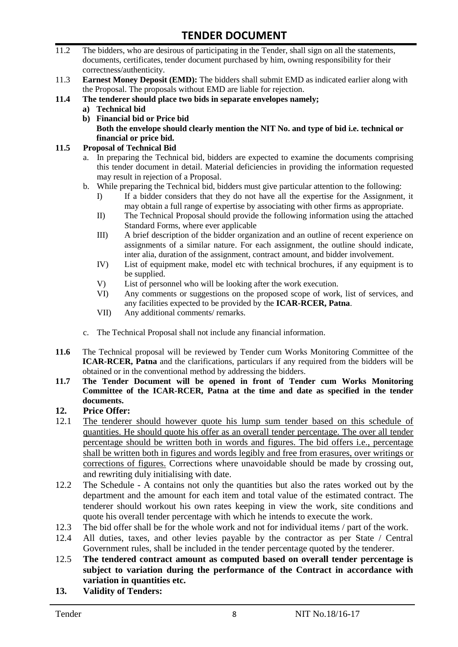- 11.2 The bidders, who are desirous of participating in the Tender, shall sign on all the statements, documents, certificates, tender document purchased by him, owning responsibility for their correctness/authenticity.
- 11.3 **Earnest Money Deposit (EMD):** The bidders shall submit EMD as indicated earlier along with the Proposal. The proposals without EMD are liable for rejection.
- **11.4 The tenderer should place two bids in separate envelopes namely;**
	- **a) Technical bid**
	- **b) Financial bid or Price bid Both the envelope should clearly mention the NIT No. and type of bid i.e. technical or financial or price bid.**

#### **11.5 Proposal of Technical Bid**

- a. In preparing the Technical bid, bidders are expected to examine the documents comprising this tender document in detail. Material deficiencies in providing the information requested may result in rejection of a Proposal.
- b. While preparing the Technical bid, bidders must give particular attention to the following:
	- I) If a bidder considers that they do not have all the expertise for the Assignment, it may obtain a full range of expertise by associating with other firms as appropriate.
	- II) The Technical Proposal should provide the following information using the attached Standard Forms, where ever applicable
	- III) A brief description of the bidder organization and an outline of recent experience on assignments of a similar nature. For each assignment, the outline should indicate, inter alia, duration of the assignment, contract amount, and bidder involvement.
	- IV) List of equipment make, model etc with technical brochures, if any equipment is to be supplied.
	- V) List of personnel who will be looking after the work execution.
	- VI) Any comments or suggestions on the proposed scope of work, list of services, and any facilities expected to be provided by the **ICAR-RCER, Patna**.
	- VII) Any additional comments/ remarks.
- c. The Technical Proposal shall not include any financial information.
- **11.6** The Technical proposal will be reviewed by Tender cum Works Monitoring Committee of the **ICAR-RCER, Patna** and the clarifications, particulars if any required from the bidders will be obtained or in the conventional method by addressing the bidders.
- **11.7 The Tender Document will be opened in front of Tender cum Works Monitoring Committee of the ICAR-RCER, Patna at the time and date as specified in the tender documents.**

#### **12. Price Offer:**

- 12.1 The tenderer should however quote his lump sum tender based on this schedule of quantities. He should quote his offer as an overall tender percentage. The over all tender percentage should be written both in words and figures. The bid offers i.e., percentage shall be written both in figures and words legibly and free from erasures, over writings or corrections of figures. Corrections where unavoidable should be made by crossing out, and rewriting duly initialising with date.
- 12.2 The Schedule A contains not only the quantities but also the rates worked out by the department and the amount for each item and total value of the estimated contract. The tenderer should workout his own rates keeping in view the work, site conditions and quote his overall tender percentage with which he intends to execute the work.
- 12.3 The bid offer shall be for the whole work and not for individual items / part of the work.
- 12.4 All duties, taxes, and other levies payable by the contractor as per State / Central Government rules, shall be included in the tender percentage quoted by the tenderer.
- 12.5 **The tendered contract amount as computed based on overall tender percentage is subject to variation during the performance of the Contract in accordance with variation in quantities etc.**
- **13. Validity of Tenders:**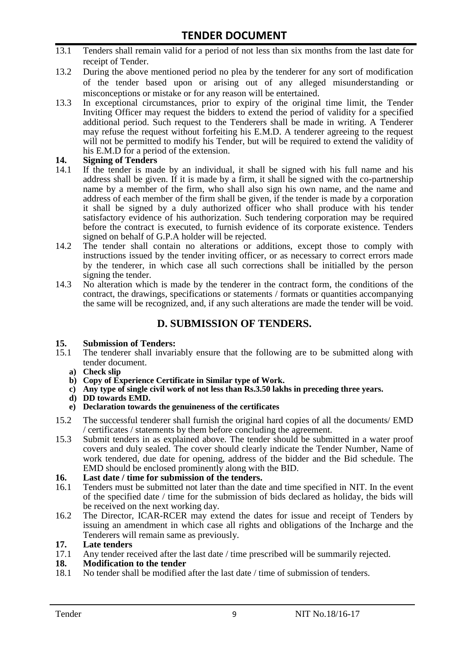- 13.1 Tenders shall remain valid for a period of not less than six months from the last date for receipt of Tender.
- 13.2 During the above mentioned period no plea by the tenderer for any sort of modification of the tender based upon or arising out of any alleged misunderstanding or misconceptions or mistake or for any reason will be entertained.
- 13.3 In exceptional circumstances, prior to expiry of the original time limit, the Tender Inviting Officer may request the bidders to extend the period of validity for a specified additional period. Such request to the Tenderers shall be made in writing. A Tenderer may refuse the request without forfeiting his E.M.D. A tenderer agreeing to the request will not be permitted to modify his Tender, but will be required to extend the validity of his E.M.D for a period of the extension.

# **14.** Signing of Tenders<br>14.1 If the tender is made

- If the tender is made by an individual, it shall be signed with his full name and his address shall be given. If it is made by a firm, it shall be signed with the co-partnership name by a member of the firm, who shall also sign his own name, and the name and address of each member of the firm shall be given, if the tender is made by a corporation it shall be signed by a duly authorized officer who shall produce with his tender satisfactory evidence of his authorization. Such tendering corporation may be required before the contract is executed, to furnish evidence of its corporate existence. Tenders signed on behalf of G.P.A holder will be rejected.
- 14.2 The tender shall contain no alterations or additions, except those to comply with instructions issued by the tender inviting officer, or as necessary to correct errors made by the tenderer, in which case all such corrections shall be initialled by the person signing the tender.
- 14.3 No alteration which is made by the tenderer in the contract form, the conditions of the contract, the drawings, specifications or statements / formats or quantities accompanying the same will be recognized, and, if any such alterations are made the tender will be void.

### **D. SUBMISSION OF TENDERS.**

#### **15. Submission of Tenders:**

- 15.1 The tenderer shall invariably ensure that the following are to be submitted along with tender document.
	- **a) Check slip**
	- **b) Copy of Experience Certificate in Similar type of Work.**
	- **c) Any type of single civil work of not less than Rs.3.50 lakhs in preceding three years.**
	- **d) DD towards EMD.**
	- **e) Declaration towards the genuineness of the certificates**
- 15.2 The successful tenderer shall furnish the original hard copies of all the documents/ EMD / certificates / statements by them before concluding the agreement.
- 15.3 Submit tenders in as explained above. The tender should be submitted in a water proof covers and duly sealed. The cover should clearly indicate the Tender Number, Name of work tendered, due date for opening, address of the bidder and the Bid schedule. The EMD should be enclosed prominently along with the BID.
- **16. Last date / time for submission of the tenders.**
- 16.1 Tenders must be submitted not later than the date and time specified in NIT. In the event of the specified date / time for the submission of bids declared as holiday, the bids will be received on the next working day.
- 16.2 The Director, ICAR-RCER may extend the dates for issue and receipt of Tenders by issuing an amendment in which case all rights and obligations of the Incharge and the Tenderers will remain same as previously.

#### **17. Late tenders**

17.1 Any tender received after the last date / time prescribed will be summarily rejected.

#### **18. Modification to the tender**

18.1 No tender shall be modified after the last date / time of submission of tenders.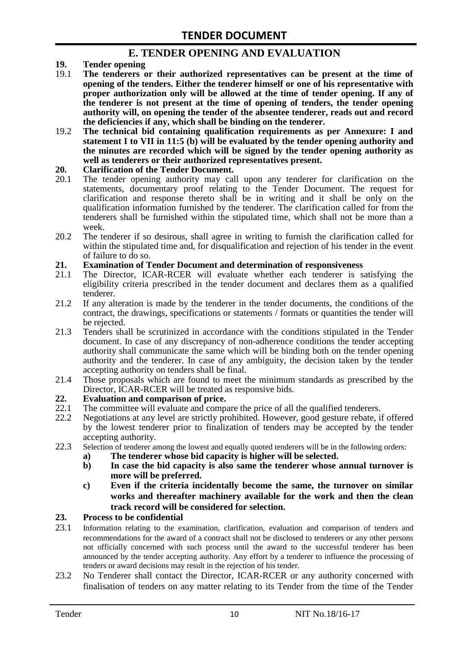### **E. TENDER OPENING AND EVALUATION**

- **19. Tender opening**
- 19.1 **The tenderers or their authorized representatives can be present at the time of opening of the tenders. Either the tenderer himself or one of his representative with proper authorization only will be allowed at the time of tender opening. If any of the tenderer is not present at the time of opening of tenders, the tender opening authority will, on opening the tender of the absentee tenderer, reads out and record the deficiencies if any, which shall be binding on the tenderer.**
- 19.2 **The technical bid containing qualification requirements as per Annexure: I and statement I to VII in 11:5 (b) will be evaluated by the tender opening authority and the minutes are recorded which will be signed by the tender opening authority as well as tenderers or their authorized representatives present.**

#### **20. Clarification of the Tender Document.**

- 20.1 The tender opening authority may call upon any tenderer for clarification on the statements, documentary proof relating to the Tender Document. The request for clarification and response thereto shall be in writing and it shall be only on the qualification information furnished by the tenderer. The clarification called for from the tenderers shall be furnished within the stipulated time, which shall not be more than a week.
- 20.2 The tenderer if so desirous, shall agree in writing to furnish the clarification called for within the stipulated time and, for disqualification and rejection of his tender in the event of failure to do so.

# **21. Examination of Tender Document and determination of responsiveness**

- 21.1 The Director, ICAR-RCER will evaluate whether each tenderer is satisfying the eligibility criteria prescribed in the tender document and declares them as a qualified tenderer.
- 21.2 If any alteration is made by the tenderer in the tender documents, the conditions of the contract, the drawings, specifications or statements / formats or quantities the tender will be rejected.
- 21.3 Tenders shall be scrutinized in accordance with the conditions stipulated in the Tender document. In case of any discrepancy of non-adherence conditions the tender accepting authority shall communicate the same which will be binding both on the tender opening authority and the tenderer. In case of any ambiguity, the decision taken by the tender accepting authority on tenders shall be final.
- 21.4 Those proposals which are found to meet the minimum standards as prescribed by the Director, ICAR-RCER will be treated as responsive bids.

# **22. Evaluation and comparison of price.**

- The committee will evaluate and compare the price of all the qualified tenderers.
- 22.2 Negotiations at any level are strictly prohibited. However, good gesture rebate, if offered by the lowest tenderer prior to finalization of tenders may be accepted by the tender accepting authority.
- 22.3 Selection of tenderer among the lowest and equally quoted tenderers will be in the following orders:
	- **a) The tenderer whose bid capacity is higher will be selected.**
	- **b) In case the bid capacity is also same the tenderer whose annual turnover is more will be preferred.**
	- **c) Even if the criteria incidentally become the same, the turnover on similar works and thereafter machinery available for the work and then the clean track record will be considered for selection.**

#### **23. Process to be confidential**

- 23.1 Information relating to the examination, clarification, evaluation and comparison of tenders and recommendations for the award of a contract shall not be disclosed to tenderers or any other persons not officially concerned with such process until the award to the successful tenderer has been announced by the tender accepting authority. Any effort by a tenderer to influence the processing of tenders or award decisions may result in the rejection of his tender.
- 23.2 No Tenderer shall contact the Director, ICAR-RCER or any authority concerned with finalisation of tenders on any matter relating to its Tender from the time of the Tender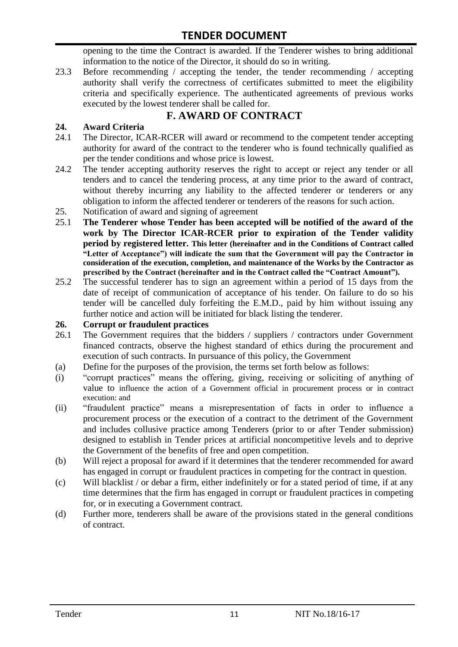opening to the time the Contract is awarded. If the Tenderer wishes to bring additional information to the notice of the Director, it should do so in writing.

23.3 Before recommending / accepting the tender, the tender recommending / accepting authority shall verify the correctness of certificates submitted to meet the eligibility criteria and specifically experience. The authenticated agreements of previous works executed by the lowest tenderer shall be called for.

# **F. AWARD OF CONTRACT**

#### **24. Award Criteria**

- 24.1 The Director, ICAR-RCER will award or recommend to the competent tender accepting authority for award of the contract to the tenderer who is found technically qualified as per the tender conditions and whose price is lowest.
- 24.2 The tender accepting authority reserves the right to accept or reject any tender or all tenders and to cancel the tendering process, at any time prior to the award of contract, without thereby incurring any liability to the affected tenderer or tenderers or any obligation to inform the affected tenderer or tenderers of the reasons for such action.
- 25. Notification of award and signing of agreement
- 25.1 **The Tenderer whose Tender has been accepted will be notified of the award of the work by The Director ICAR-RCER prior to expiration of the Tender validity period by registered letter. This letter (hereinafter and in the Conditions of Contract called "Letter of Acceptance") will indicate the sum that the Government will pay the Contractor in consideration of the execution, completion, and maintenance of the Works by the Contractor as prescribed by the Contract (hereinafter and in the Contract called the "Contract Amount").**
- 25.2 The successful tenderer has to sign an agreement within a period of 15 days from the date of receipt of communication of acceptance of his tender. On failure to do so his tender will be cancelled duly forfeiting the E.M.D., paid by him without issuing any further notice and action will be initiated for black listing the tenderer.

#### **26. Corrupt or fraudulent practices**

- 26.1 The Government requires that the bidders / suppliers / contractors under Government financed contracts, observe the highest standard of ethics during the procurement and execution of such contracts. In pursuance of this policy, the Government
- (a) Define for the purposes of the provision, the terms set forth below as follows:
- (i) "corrupt practices" means the offering, giving, receiving or soliciting of anything of value to influence the action of a Government official in procurement process or in contract execution: and
- (ii) "fraudulent practice" means a misrepresentation of facts in order to influence a procurement process or the execution of a contract to the detriment of the Government and includes collusive practice among Tenderers (prior to or after Tender submission) designed to establish in Tender prices at artificial noncompetitive levels and to deprive the Government of the benefits of free and open competition.
- (b) Will reject a proposal for award if it determines that the tenderer recommended for award has engaged in corrupt or fraudulent practices in competing for the contract in question.
- (c) Will blacklist / or debar a firm, either indefinitely or for a stated period of time, if at any time determines that the firm has engaged in corrupt or fraudulent practices in competing for, or in executing a Government contract.
- (d) Further more, tenderers shall be aware of the provisions stated in the general conditions of contract.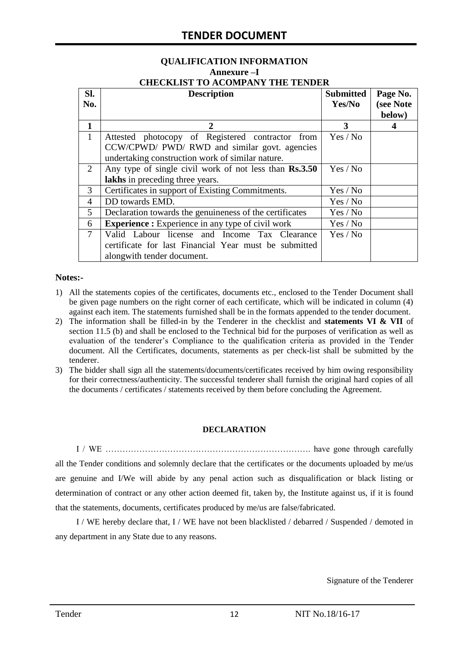#### **QUALIFICATION INFORMATION Annexure –I CHECKLIST TO ACOMPANY THE TENDER**

| Sl.            | <b>Description</b>                                       | <b>Submitted</b> | Page No.  |
|----------------|----------------------------------------------------------|------------------|-----------|
| No.            |                                                          | Yes/No           | (see Note |
|                |                                                          |                  | below)    |
| $\mathbf{1}$   | 2                                                        | 3                |           |
| 1              | Attested photocopy of Registered contractor from         | Yes / No         |           |
|                | CCW/CPWD/ PWD/ RWD and similar govt. agencies            |                  |           |
|                | undertaking construction work of similar nature.         |                  |           |
| 2              | Any type of single civil work of not less than Rs.3.50   | Yes / No         |           |
|                | lakhs in preceding three years.                          |                  |           |
| 3              | Certificates in support of Existing Commitments.         | Yes / No         |           |
| $\overline{4}$ | DD towards EMD.                                          | Yes / No         |           |
| 5              | Declaration towards the genuineness of the certificates  | Yes / No         |           |
| 6              | <b>Experience :</b> Experience in any type of civil work | Yes / No         |           |
| $\tau$         | Valid Labour license and Income Tax Clearance            | Yes / No         |           |
|                | certificate for last Financial Year must be submitted    |                  |           |
|                | alongwith tender document.                               |                  |           |

#### **Notes:-**

- 1) All the statements copies of the certificates, documents etc., enclosed to the Tender Document shall be given page numbers on the right corner of each certificate, which will be indicated in column (4) against each item. The statements furnished shall be in the formats appended to the tender document.
- 2) The information shall be filled-in by the Tenderer in the checklist and **statements VI & VII** of section 11.5 (b) and shall be enclosed to the Technical bid for the purposes of verification as well as evaluation of the tenderer"s Compliance to the qualification criteria as provided in the Tender document. All the Certificates, documents, statements as per check-list shall be submitted by the tenderer.
- 3) The bidder shall sign all the statements/documents/certificates received by him owing responsibility for their correctness/authenticity. The successful tenderer shall furnish the original hard copies of all the documents / certificates / statements received by them before concluding the Agreement.

#### **DECLARATION**

I / WE ………………………………………………………………. have gone through carefully all the Tender conditions and solemnly declare that the certificates or the documents uploaded by me/us are genuine and I/We will abide by any penal action such as disqualification or black listing or determination of contract or any other action deemed fit, taken by, the Institute against us, if it is found that the statements, documents, certificates produced by me/us are false/fabricated.

I / WE hereby declare that, I / WE have not been blacklisted / debarred / Suspended / demoted in any department in any State due to any reasons.

Signature of the Tenderer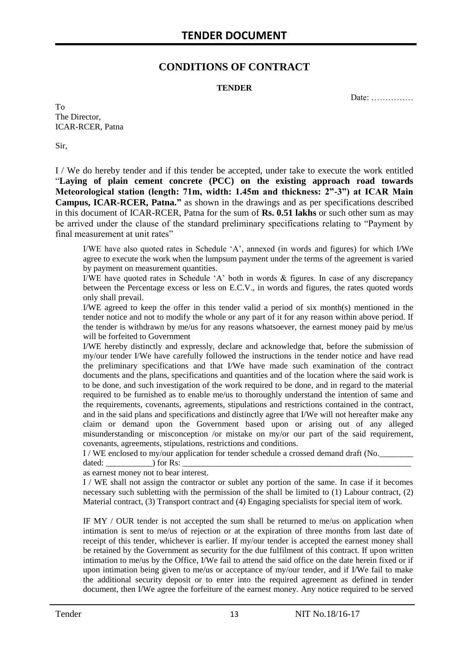### **CONDITIONS OF CONTRACT**

#### **TENDER**

Date: ……………

To The Director, ICAR-RCER, Patna

Sir,

I / We do hereby tender and if this tender be accepted, under take to execute the work entitled "**Laying of plain cement concrete (PCC) on the existing approach road towards Meteorological station (length: 71m, width: 1.45m and thickness: 2"-3") at ICAR Main Campus, ICAR-RCER, Patna."** as shown in the drawings and as per specifications described in this document of ICAR-RCER, Patna for the sum of **Rs. 0.51 lakhs** or such other sum as may be arrived under the clause of the standard preliminary specifications relating to "Payment by final measurement at unit rates"

I/WE have also quoted rates in Schedule "A", annexed (in words and figures) for which I/We agree to execute the work when the lumpsum payment under the terms of the agreement is varied by payment on measurement quantities.

I/WE have quoted rates in Schedule "A" both in words & figures. In case of any discrepancy between the Percentage excess or less on E.C.V., in words and figures, the rates quoted words only shall prevail.

I/WE agreed to keep the offer in this tender valid a period of six month(s) mentioned in the tender notice and not to modify the whole or any part of it for any reason within above period. If the tender is withdrawn by me/us for any reasons whatsoever, the earnest money paid by me/us will be forfeited to Government

I/WE hereby distinctly and expressly, declare and acknowledge that, before the submission of my/our tender I/We have carefully followed the instructions in the tender notice and have read the preliminary specifications and that I/We have made such examination of the contract documents and the plans, specifications and quantities and of the location where the said work is to be done, and such investigation of the work required to be done, and in regard to the material required to be furnished as to enable me/us to thoroughly understand the intention of same and the requirements, covenants, agreements, stipulations and restrictions contained in the contract, and in the said plans and specifications and distinctly agree that I/We will not hereafter make any claim or demand upon the Government based upon or arising out of any alleged misunderstanding or misconception /or mistake on my/or our part of the said requirement, covenants, agreements, stipulations, restrictions and conditions.

I / WE enclosed to my/our application for tender schedule a crossed demand draft (No.

dated: \_\_\_\_\_\_\_\_\_\_\_) for Rs: \_\_\_\_\_\_\_\_\_\_\_\_\_\_\_\_\_\_\_\_\_\_\_\_\_\_\_\_\_\_\_\_\_\_\_\_\_\_\_\_\_\_\_\_\_\_\_\_\_\_\_\_\_\_

as earnest money not to bear interest.

I / WE shall not assign the contractor or sublet any portion of the same. In case if it becomes necessary such subletting with the permission of the shall be limited to (1) Labour contract, (2) Material contract, (3) Transport contract and (4) Engaging specialists for special item of work.

IF MY / OUR tender is not accepted the sum shall be returned to me/us on application when intimation is sent to me/us of rejection or at the expiration of three months from last date of receipt of this tender, whichever is earlier. If my/our tender is accepted the earnest money shall be retained by the Government as security for the due fulfilment of this contract. If upon written intimation to me/us by the Office, I/We fail to attend the said office on the date herein fixed or if upon intimation being given to me/us or acceptance of my/our tender, and if I/We fail to make the additional security deposit or to enter into the required agreement as defined in tender document, then I/We agree the forfeiture of the earnest money. Any notice required to be served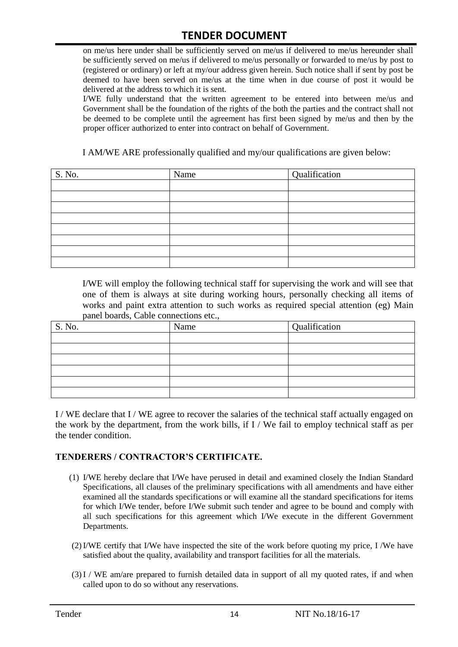on me/us here under shall be sufficiently served on me/us if delivered to me/us hereunder shall be sufficiently served on me/us if delivered to me/us personally or forwarded to me/us by post to (registered or ordinary) or left at my/our address given herein. Such notice shall if sent by post be deemed to have been served on me/us at the time when in due course of post it would be delivered at the address to which it is sent.

I/WE fully understand that the written agreement to be entered into between me/us and Government shall be the foundation of the rights of the both the parties and the contract shall not be deemed to be complete until the agreement has first been signed by me/us and then by the proper officer authorized to enter into contract on behalf of Government.

I AM/WE ARE professionally qualified and my/our qualifications are given below:

| S. No. | Name | Qualification |
|--------|------|---------------|
|        |      |               |
|        |      |               |
|        |      |               |
|        |      |               |
|        |      |               |
|        |      |               |
|        |      |               |
|        |      |               |

I/WE will employ the following technical staff for supervising the work and will see that one of them is always at site during working hours, personally checking all items of works and paint extra attention to such works as required special attention (eg) Main panel boards, Cable connections etc.,

| S. No. | Name | Qualification |
|--------|------|---------------|
|        |      |               |
|        |      |               |
|        |      |               |
|        |      |               |
|        |      |               |
|        |      |               |

I / WE declare that I / WE agree to recover the salaries of the technical staff actually engaged on the work by the department, from the work bills, if I / We fail to employ technical staff as per the tender condition.

#### **TENDERERS / CONTRACTOR'S CERTIFICATE.**

- (1) I/WE hereby declare that I/We have perused in detail and examined closely the Indian Standard Specifications, all clauses of the preliminary specifications with all amendments and have either examined all the standards specifications or will examine all the standard specifications for items for which I/We tender, before I/We submit such tender and agree to be bound and comply with all such specifications for this agreement which I/We execute in the different Government Departments.
- (2)I/WE certify that I/We have inspected the site of the work before quoting my price, I /We have satisfied about the quality, availability and transport facilities for all the materials.
- (3)I / WE am/are prepared to furnish detailed data in support of all my quoted rates, if and when called upon to do so without any reservations.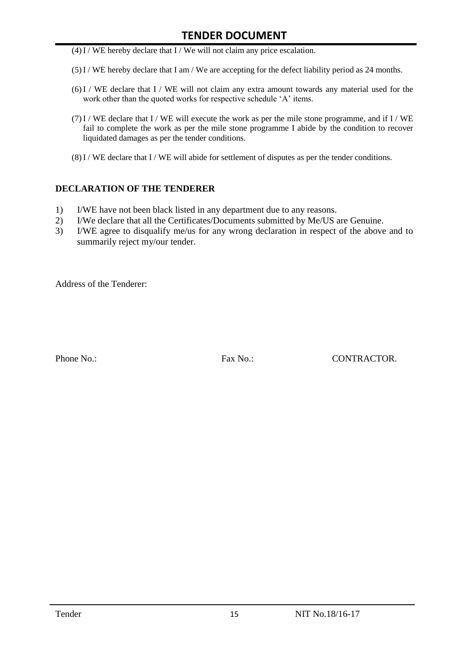- $(4)$ I / WE hereby declare that I / We will not claim any price escalation.
- (5)I / WE hereby declare that I am / We are accepting for the defect liability period as 24 months.
- (6)I / WE declare that I / WE will not claim any extra amount towards any material used for the work other than the quoted works for respective schedule 'A' items.
- (7)I / WE declare that I / WE will execute the work as per the mile stone programme, and if I / WE fail to complete the work as per the mile stone programme I abide by the condition to recover liquidated damages as per the tender conditions.
- $(8)$ I / WE declare that I / WE will abide for settlement of disputes as per the tender conditions.

#### **DECLARATION OF THE TENDERER**

- 1) I/WE have not been black listed in any department due to any reasons.
- 2) I/We declare that all the Certificates/Documents submitted by Me/US are Genuine.
- 3) I/WE agree to disqualify me/us for any wrong declaration in respect of the above and to summarily reject my/our tender.

Address of the Tenderer:

Phone No.: Fax No.: Except CONTRACTOR.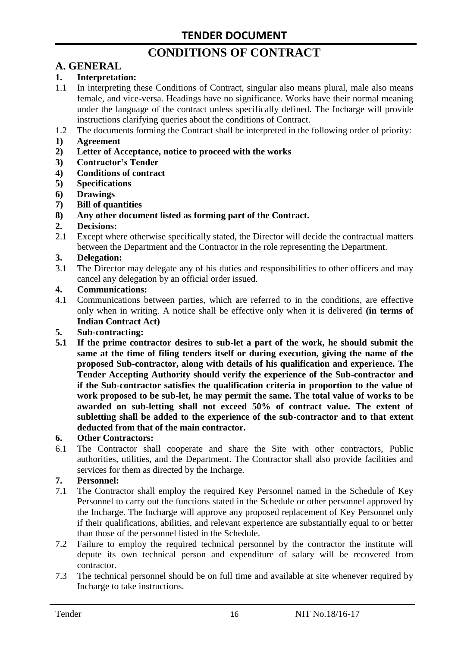# **CONDITIONS OF CONTRACT**

# **A. GENERAL**

#### **1. Interpretation:**

- 1.1 In interpreting these Conditions of Contract, singular also means plural, male also means female, and vice-versa. Headings have no significance. Works have their normal meaning under the language of the contract unless specifically defined. The Incharge will provide instructions clarifying queries about the conditions of Contract.
- 1.2 The documents forming the Contract shall be interpreted in the following order of priority:
- **1) Agreement**
- **2) Letter of Acceptance, notice to proceed with the works**
- **3) Contractor's Tender**
- **4) Conditions of contract**
- **5) Specifications**
- **6) Drawings**
- **7) Bill of quantities**
- **8) Any other document listed as forming part of the Contract.**

#### **2. Decisions:**

2.1 Except where otherwise specifically stated, the Director will decide the contractual matters between the Department and the Contractor in the role representing the Department.

#### **3. Delegation:**

3.1 The Director may delegate any of his duties and responsibilities to other officers and may cancel any delegation by an official order issued.

#### **4. Communications:**

4.1 Communications between parties, which are referred to in the conditions, are effective only when in writing. A notice shall be effective only when it is delivered **(in terms of Indian Contract Act)**

#### **5. Sub-contracting:**

**5.1 If the prime contractor desires to sub-let a part of the work, he should submit the same at the time of filing tenders itself or during execution, giving the name of the proposed Sub-contractor, along with details of his qualification and experience. The Tender Accepting Authority should verify the experience of the Sub-contractor and if the Sub-contractor satisfies the qualification criteria in proportion to the value of work proposed to be sub-let, he may permit the same. The total value of works to be awarded on sub-letting shall not exceed 50% of contract value. The extent of subletting shall be added to the experience of the sub-contractor and to that extent deducted from that of the main contractor.**

#### **6. Other Contractors:**

6.1 The Contractor shall cooperate and share the Site with other contractors, Public authorities, utilities, and the Department. The Contractor shall also provide facilities and services for them as directed by the Incharge.

#### **7. Personnel:**

- 7.1 The Contractor shall employ the required Key Personnel named in the Schedule of Key Personnel to carry out the functions stated in the Schedule or other personnel approved by the Incharge. The Incharge will approve any proposed replacement of Key Personnel only if their qualifications, abilities, and relevant experience are substantially equal to or better than those of the personnel listed in the Schedule.
- 7.2 Failure to employ the required technical personnel by the contractor the institute will depute its own technical person and expenditure of salary will be recovered from contractor.
- 7.3 The technical personnel should be on full time and available at site whenever required by Incharge to take instructions.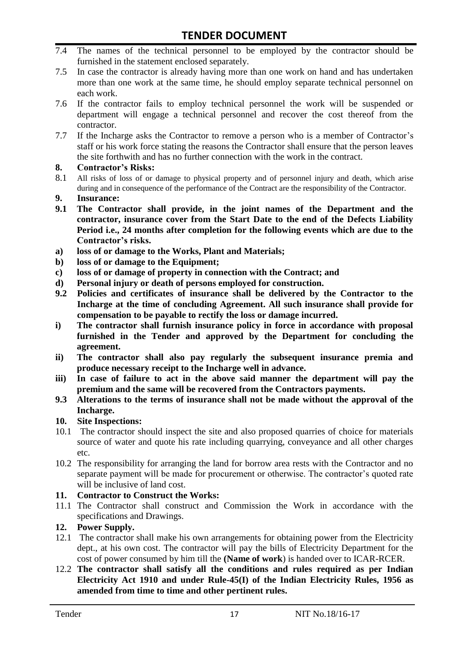- 7.4 The names of the technical personnel to be employed by the contractor should be furnished in the statement enclosed separately.
- 7.5 In case the contractor is already having more than one work on hand and has undertaken more than one work at the same time, he should employ separate technical personnel on each work.
- 7.6 If the contractor fails to employ technical personnel the work will be suspended or department will engage a technical personnel and recover the cost thereof from the contractor.
- 7.7 If the Incharge asks the Contractor to remove a person who is a member of Contractor"s staff or his work force stating the reasons the Contractor shall ensure that the person leaves the site forthwith and has no further connection with the work in the contract.

#### **8. Contractor's Risks:**

- 8.1 All risks of loss of or damage to physical property and of personnel injury and death, which arise during and in consequence of the performance of the Contract are the responsibility of the Contractor.
- **9. Insurance:**
- **9.1 The Contractor shall provide, in the joint names of the Department and the contractor, insurance cover from the Start Date to the end of the Defects Liability Period i.e., 24 months after completion for the following events which are due to the Contractor's risks.**
- **a) loss of or damage to the Works, Plant and Materials;**
- **b) loss of or damage to the Equipment;**
- **c) loss of or damage of property in connection with the Contract; and**
- **d) Personal injury or death of persons employed for construction.**
- **9.2 Policies and certificates of insurance shall be delivered by the Contractor to the Incharge at the time of concluding Agreement. All such insurance shall provide for compensation to be payable to rectify the loss or damage incurred.**
- **i) The contractor shall furnish insurance policy in force in accordance with proposal furnished in the Tender and approved by the Department for concluding the agreement.**
- **ii) The contractor shall also pay regularly the subsequent insurance premia and produce necessary receipt to the Incharge well in advance.**
- **iii) In case of failure to act in the above said manner the department will pay the premium and the same will be recovered from the Contractors payments.**
- **9.3 Alterations to the terms of insurance shall not be made without the approval of the Incharge.**

#### **10. Site Inspections:**

- 10.1 The contractor should inspect the site and also proposed quarries of choice for materials source of water and quote his rate including quarrying, conveyance and all other charges etc.
- 10.2 The responsibility for arranging the land for borrow area rests with the Contractor and no separate payment will be made for procurement or otherwise. The contractor's quoted rate will be inclusive of land cost.

#### **11. Contractor to Construct the Works:**

11.1 The Contractor shall construct and Commission the Work in accordance with the specifications and Drawings.

#### **12. Power Supply.**

- 12.1 The contractor shall make his own arrangements for obtaining power from the Electricity dept., at his own cost. The contractor will pay the bills of Electricity Department for the cost of power consumed by him till the **(Name of work**) is handed over to ICAR-RCER.
- 12.2 **The contractor shall satisfy all the conditions and rules required as per Indian Electricity Act 1910 and under Rule-45(I) of the Indian Electricity Rules, 1956 as amended from time to time and other pertinent rules.**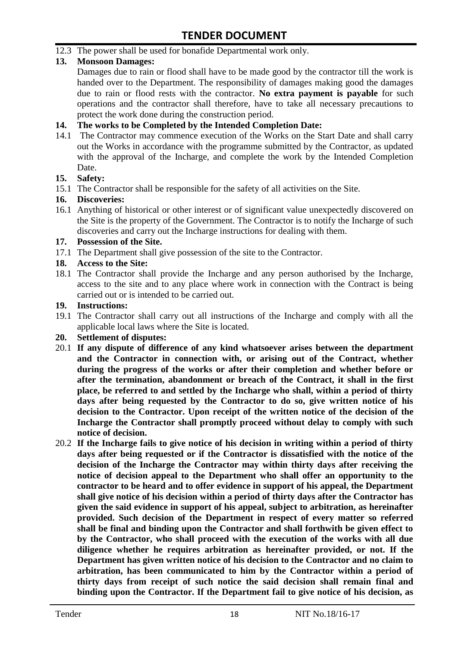12.3 The power shall be used for bonafide Departmental work only.

#### **13. Monsoon Damages:**

Damages due to rain or flood shall have to be made good by the contractor till the work is handed over to the Department. The responsibility of damages making good the damages due to rain or flood rests with the contractor. **No extra payment is payable** for such operations and the contractor shall therefore, have to take all necessary precautions to protect the work done during the construction period.

#### **14. The works to be Completed by the Intended Completion Date:**

14.1 The Contractor may commence execution of the Works on the Start Date and shall carry out the Works in accordance with the programme submitted by the Contractor, as updated with the approval of the Incharge, and complete the work by the Intended Completion Date.

#### **15. Safety:**

15.1 The Contractor shall be responsible for the safety of all activities on the Site.

#### **16. Discoveries:**

16.1 Anything of historical or other interest or of significant value unexpectedly discovered on the Site is the property of the Government. The Contractor is to notify the Incharge of such discoveries and carry out the Incharge instructions for dealing with them.

#### **17. Possession of the Site.**

17.1 The Department shall give possession of the site to the Contractor.

#### **18. Access to the Site:**

18.1 The Contractor shall provide the Incharge and any person authorised by the Incharge, access to the site and to any place where work in connection with the Contract is being carried out or is intended to be carried out.

#### **19. Instructions:**

- 19.1 The Contractor shall carry out all instructions of the Incharge and comply with all the applicable local laws where the Site is located.
- **20. Settlement of disputes:**
- 20.1 **If any dispute of difference of any kind whatsoever arises between the department and the Contractor in connection with, or arising out of the Contract, whether during the progress of the works or after their completion and whether before or after the termination, abandonment or breach of the Contract, it shall in the first place, be referred to and settled by the Incharge who shall, within a period of thirty days after being requested by the Contractor to do so, give written notice of his decision to the Contractor. Upon receipt of the written notice of the decision of the Incharge the Contractor shall promptly proceed without delay to comply with such notice of decision.**
- 20.2 **If the Incharge fails to give notice of his decision in writing within a period of thirty days after being requested or if the Contractor is dissatisfied with the notice of the decision of the Incharge the Contractor may within thirty days after receiving the notice of decision appeal to the Department who shall offer an opportunity to the contractor to be heard and to offer evidence in support of his appeal, the Department shall give notice of his decision within a period of thirty days after the Contractor has given the said evidence in support of his appeal, subject to arbitration, as hereinafter provided. Such decision of the Department in respect of every matter so referred shall be final and binding upon the Contractor and shall forthwith be given effect to by the Contractor, who shall proceed with the execution of the works with all due diligence whether he requires arbitration as hereinafter provided, or not. If the Department has given written notice of his decision to the Contractor and no claim to arbitration, has been communicated to him by the Contractor within a period of thirty days from receipt of such notice the said decision shall remain final and binding upon the Contractor. If the Department fail to give notice of his decision, as**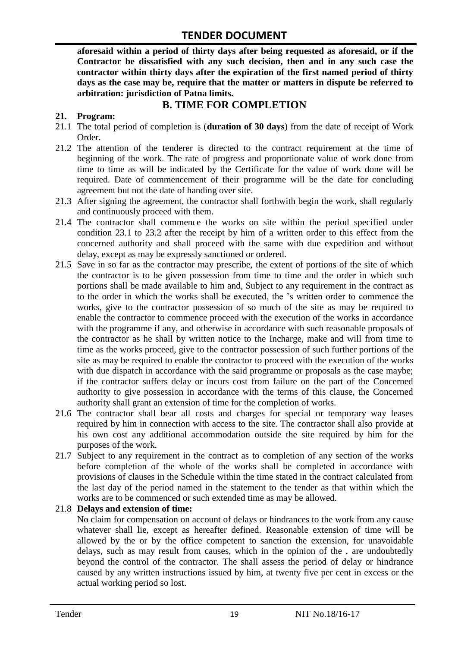**aforesaid within a period of thirty days after being requested as aforesaid, or if the Contractor be dissatisfied with any such decision, then and in any such case the contractor within thirty days after the expiration of the first named period of thirty days as the case may be, require that the matter or matters in dispute be referred to arbitration: jurisdiction of Patna limits.**

### **B. TIME FOR COMPLETION**

#### **21. Program:**

- 21.1 The total period of completion is (**duration of 30 days**) from the date of receipt of Work Order.
- 21.2 The attention of the tenderer is directed to the contract requirement at the time of beginning of the work. The rate of progress and proportionate value of work done from time to time as will be indicated by the Certificate for the value of work done will be required. Date of commencement of their programme will be the date for concluding agreement but not the date of handing over site.
- 21.3 After signing the agreement, the contractor shall forthwith begin the work, shall regularly and continuously proceed with them.
- 21.4 The contractor shall commence the works on site within the period specified under condition 23.1 to 23.2 after the receipt by him of a written order to this effect from the concerned authority and shall proceed with the same with due expedition and without delay, except as may be expressly sanctioned or ordered.
- 21.5 Save in so far as the contractor may prescribe, the extent of portions of the site of which the contractor is to be given possession from time to time and the order in which such portions shall be made available to him and, Subject to any requirement in the contract as to the order in which the works shall be executed, the "s written order to commence the works, give to the contractor possession of so much of the site as may be required to enable the contractor to commence proceed with the execution of the works in accordance with the programme if any, and otherwise in accordance with such reasonable proposals of the contractor as he shall by written notice to the Incharge, make and will from time to time as the works proceed, give to the contractor possession of such further portions of the site as may be required to enable the contractor to proceed with the execution of the works with due dispatch in accordance with the said programme or proposals as the case maybe; if the contractor suffers delay or incurs cost from failure on the part of the Concerned authority to give possession in accordance with the terms of this clause, the Concerned authority shall grant an extension of time for the completion of works.
- 21.6 The contractor shall bear all costs and charges for special or temporary way leases required by him in connection with access to the site. The contractor shall also provide at his own cost any additional accommodation outside the site required by him for the purposes of the work.
- 21.7 Subject to any requirement in the contract as to completion of any section of the works before completion of the whole of the works shall be completed in accordance with provisions of clauses in the Schedule within the time stated in the contract calculated from the last day of the period named in the statement to the tender as that within which the works are to be commenced or such extended time as may be allowed.

#### 21.8 **Delays and extension of time:**

No claim for compensation on account of delays or hindrances to the work from any cause whatever shall lie, except as hereafter defined. Reasonable extension of time will be allowed by the or by the office competent to sanction the extension, for unavoidable delays, such as may result from causes, which in the opinion of the , are undoubtedly beyond the control of the contractor. The shall assess the period of delay or hindrance caused by any written instructions issued by him, at twenty five per cent in excess or the actual working period so lost.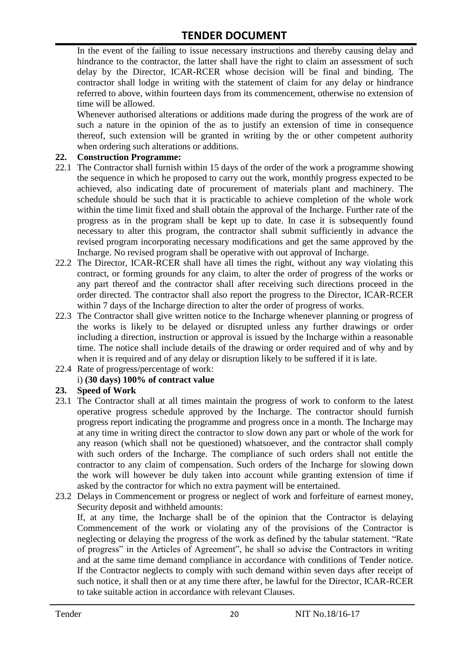In the event of the failing to issue necessary instructions and thereby causing delay and hindrance to the contractor, the latter shall have the right to claim an assessment of such delay by the Director, ICAR-RCER whose decision will be final and binding. The contractor shall lodge in writing with the statement of claim for any delay or hindrance referred to above, within fourteen days from its commencement, otherwise no extension of time will be allowed.

Whenever authorised alterations or additions made during the progress of the work are of such a nature in the opinion of the as to justify an extension of time in consequence thereof, such extension will be granted in writing by the or other competent authority when ordering such alterations or additions.

#### **22. Construction Programme:**

- 22.1 The Contractor shall furnish within 15 days of the order of the work a programme showing the sequence in which he proposed to carry out the work, monthly progress expected to be achieved, also indicating date of procurement of materials plant and machinery. The schedule should be such that it is practicable to achieve completion of the whole work within the time limit fixed and shall obtain the approval of the Incharge. Further rate of the progress as in the program shall be kept up to date. In case it is subsequently found necessary to alter this program, the contractor shall submit sufficiently in advance the revised program incorporating necessary modifications and get the same approved by the Incharge. No revised program shall be operative with out approval of Incharge.
- 22.2 The Director, ICAR-RCER shall have all times the right, without any way violating this contract, or forming grounds for any claim, to alter the order of progress of the works or any part thereof and the contractor shall after receiving such directions proceed in the order directed. The contractor shall also report the progress to the Director, ICAR-RCER within 7 days of the Incharge direction to alter the order of progress of works.
- 22.3 The Contractor shall give written notice to the Incharge whenever planning or progress of the works is likely to be delayed or disrupted unless any further drawings or order including a direction, instruction or approval is issued by the Incharge within a reasonable time. The notice shall include details of the drawing or order required and of why and by when it is required and of any delay or disruption likely to be suffered if it is late.
- 22.4 Rate of progress/percentage of work:

#### i) **(30 days) 100% of contract value**

#### **23. Speed of Work**

- 23.1 The Contractor shall at all times maintain the progress of work to conform to the latest operative progress schedule approved by the Incharge. The contractor should furnish progress report indicating the programme and progress once in a month. The Incharge may at any time in writing direct the contractor to slow down any part or whole of the work for any reason (which shall not be questioned) whatsoever, and the contractor shall comply with such orders of the Incharge. The compliance of such orders shall not entitle the contractor to any claim of compensation. Such orders of the Incharge for slowing down the work will however be duly taken into account while granting extension of time if asked by the contractor for which no extra payment will be entertained.
- 23.2 Delays in Commencement or progress or neglect of work and forfeiture of earnest money, Security deposit and withheld amounts:

If, at any time, the Incharge shall be of the opinion that the Contractor is delaying Commencement of the work or violating any of the provisions of the Contractor is neglecting or delaying the progress of the work as defined by the tabular statement. "Rate of progress" in the Articles of Agreement", he shall so advise the Contractors in writing and at the same time demand compliance in accordance with conditions of Tender notice. If the Contractor neglects to comply with such demand within seven days after receipt of such notice, it shall then or at any time there after, be lawful for the Director, ICAR-RCER to take suitable action in accordance with relevant Clauses.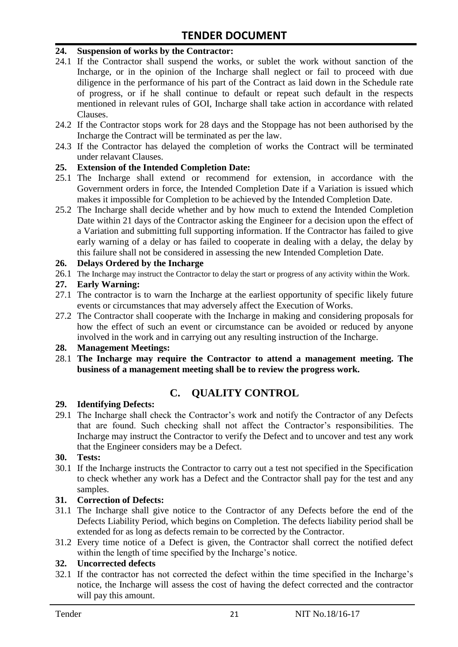#### **24. Suspension of works by the Contractor:**

- 24.1 If the Contractor shall suspend the works, or sublet the work without sanction of the Incharge, or in the opinion of the Incharge shall neglect or fail to proceed with due diligence in the performance of his part of the Contract as laid down in the Schedule rate of progress, or if he shall continue to default or repeat such default in the respects mentioned in relevant rules of GOI, Incharge shall take action in accordance with related Clauses.
- 24.2 If the Contractor stops work for 28 days and the Stoppage has not been authorised by the Incharge the Contract will be terminated as per the law.
- 24.3 If the Contractor has delayed the completion of works the Contract will be terminated under relavant Clauses.

#### **25. Extension of the Intended Completion Date:**

- 25.1 The Incharge shall extend or recommend for extension, in accordance with the Government orders in force, the Intended Completion Date if a Variation is issued which makes it impossible for Completion to be achieved by the Intended Completion Date.
- 25.2 The Incharge shall decide whether and by how much to extend the Intended Completion Date within 21 days of the Contractor asking the Engineer for a decision upon the effect of a Variation and submitting full supporting information. If the Contractor has failed to give early warning of a delay or has failed to cooperate in dealing with a delay, the delay by this failure shall not be considered in assessing the new Intended Completion Date.

#### **26. Delays Ordered by the Incharge**

26.1 The Incharge may instruct the Contractor to delay the start or progress of any activity within the Work.

#### **27. Early Warning:**

- 27.1 The contractor is to warn the Incharge at the earliest opportunity of specific likely future events or circumstances that may adversely affect the Execution of Works.
- 27.2 The Contractor shall cooperate with the Incharge in making and considering proposals for how the effect of such an event or circumstance can be avoided or reduced by anyone involved in the work and in carrying out any resulting instruction of the Incharge.

#### **28. Management Meetings:**

28.1 **The Incharge may require the Contractor to attend a management meeting. The business of a management meeting shall be to review the progress work.**

# **C. QUALITY CONTROL**

#### **29. Identifying Defects:**

29.1 The Incharge shall check the Contractor's work and notify the Contractor of any Defects that are found. Such checking shall not affect the Contractor"s responsibilities. The Incharge may instruct the Contractor to verify the Defect and to uncover and test any work that the Engineer considers may be a Defect.

#### **30. Tests:**

30.1 If the Incharge instructs the Contractor to carry out a test not specified in the Specification to check whether any work has a Defect and the Contractor shall pay for the test and any samples.

#### **31. Correction of Defects:**

- 31.1 The Incharge shall give notice to the Contractor of any Defects before the end of the Defects Liability Period, which begins on Completion. The defects liability period shall be extended for as long as defects remain to be corrected by the Contractor.
- 31.2 Every time notice of a Defect is given, the Contractor shall correct the notified defect within the length of time specified by the Incharge's notice.

#### **32. Uncorrected defects**

32.1 If the contractor has not corrected the defect within the time specified in the Incharge"s notice, the Incharge will assess the cost of having the defect corrected and the contractor will pay this amount.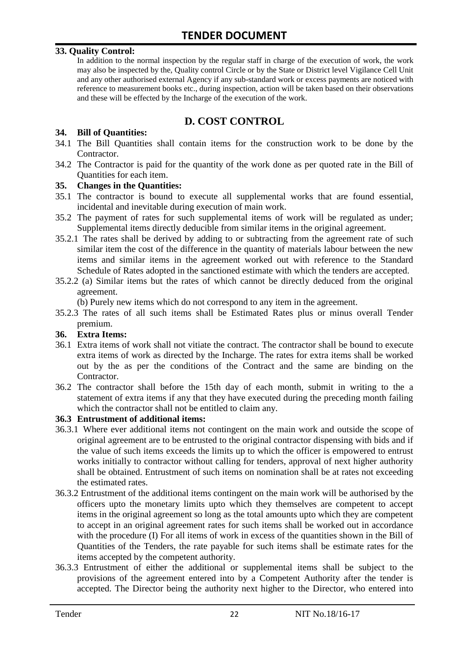#### **33. Quality Control:**

In addition to the normal inspection by the regular staff in charge of the execution of work, the work may also be inspected by the, Quality control Circle or by the State or District level Vigilance Cell Unit and any other authorised external Agency if any sub-standard work or excess payments are noticed with reference to measurement books etc., during inspection, action will be taken based on their observations and these will be effected by the Incharge of the execution of the work.

# **D. COST CONTROL**

#### **34. Bill of Quantities:**

- 34.1 The Bill Quantities shall contain items for the construction work to be done by the Contractor.
- 34.2 The Contractor is paid for the quantity of the work done as per quoted rate in the Bill of Quantities for each item.

#### **35. Changes in the Quantities:**

- 35.1 The contractor is bound to execute all supplemental works that are found essential, incidental and inevitable during execution of main work.
- 35.2 The payment of rates for such supplemental items of work will be regulated as under; Supplemental items directly deducible from similar items in the original agreement.
- 35.2.1 The rates shall be derived by adding to or subtracting from the agreement rate of such similar item the cost of the difference in the quantity of materials labour between the new items and similar items in the agreement worked out with reference to the Standard Schedule of Rates adopted in the sanctioned estimate with which the tenders are accepted.
- 35.2.2 (a) Similar items but the rates of which cannot be directly deduced from the original agreement.

(b) Purely new items which do not correspond to any item in the agreement.

35.2.3 The rates of all such items shall be Estimated Rates plus or minus overall Tender premium.

#### **36. Extra Items:**

- 36.1 Extra items of work shall not vitiate the contract. The contractor shall be bound to execute extra items of work as directed by the Incharge. The rates for extra items shall be worked out by the as per the conditions of the Contract and the same are binding on the Contractor.
- 36.2 The contractor shall before the 15th day of each month, submit in writing to the a statement of extra items if any that they have executed during the preceding month failing which the contractor shall not be entitled to claim any.

#### **36.3 Entrustment of additional items:**

- 36.3.1 Where ever additional items not contingent on the main work and outside the scope of original agreement are to be entrusted to the original contractor dispensing with bids and if the value of such items exceeds the limits up to which the officer is empowered to entrust works initially to contractor without calling for tenders, approval of next higher authority shall be obtained. Entrustment of such items on nomination shall be at rates not exceeding the estimated rates.
- 36.3.2 Entrustment of the additional items contingent on the main work will be authorised by the officers upto the monetary limits upto which they themselves are competent to accept items in the original agreement so long as the total amounts upto which they are competent to accept in an original agreement rates for such items shall be worked out in accordance with the procedure (I) For all items of work in excess of the quantities shown in the Bill of Quantities of the Tenders, the rate payable for such items shall be estimate rates for the items accepted by the competent authority.
- 36.3.3 Entrustment of either the additional or supplemental items shall be subject to the provisions of the agreement entered into by a Competent Authority after the tender is accepted. The Director being the authority next higher to the Director, who entered into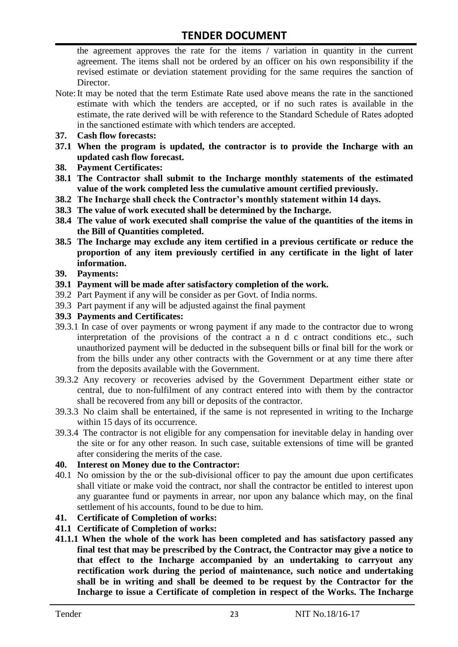the agreement approves the rate for the items / variation in quantity in the current agreement. The items shall not be ordered by an officer on his own responsibility if the revised estimate or deviation statement providing for the same requires the sanction of Director.

- Note:It may be noted that the term Estimate Rate used above means the rate in the sanctioned estimate with which the tenders are accepted, or if no such rates is available in the estimate, the rate derived will be with reference to the Standard Schedule of Rates adopted in the sanctioned estimate with which tenders are accepted.
- **37. Cash flow forecasts:**
- **37.1 When the program is updated, the contractor is to provide the Incharge with an updated cash flow forecast.**
- **38. Payment Certificates:**
- **38.1 The Contractor shall submit to the Incharge monthly statements of the estimated value of the work completed less the cumulative amount certified previously.**
- **38.2 The Incharge shall check the Contractor's monthly statement within 14 days.**
- **38.3 The value of work executed shall be determined by the Incharge.**
- **38.4 The value of work executed shall comprise the value of the quantities of the items in the Bill of Quantities completed.**
- **38.5 The Incharge may exclude any item certified in a previous certificate or reduce the proportion of any item previously certified in any certificate in the light of later information.**
- **39. Payments:**
- **39.1 Payment will be made after satisfactory completion of the work.**
- 39.2 Part Payment if any will be consider as per Govt. of India norms.
- 39.3 Part payment if any will be adjusted against the final payment
- **39.3 Payments and Certificates:**
- 39.3.1 In case of over payments or wrong payment if any made to the contractor due to wrong interpretation of the provisions of the contract a n d c ontract conditions etc., such unauthorized payment will be deducted in the subsequent bills or final bill for the work or from the bills under any other contracts with the Government or at any time there after from the deposits available with the Government.
- 39.3.2 Any recovery or recoveries advised by the Government Department either state or central, due to non-fulfilment of any contract entered into with them by the contractor shall be recovered from any bill or deposits of the contractor.
- 39.3.3 No claim shall be entertained, if the same is not represented in writing to the Incharge within 15 days of its occurrence.
- 39.3.4 The contractor is not eligible for any compensation for inevitable delay in handing over the site or for any other reason. In such case, suitable extensions of time will be granted after considering the merits of the case.

#### **40. Interest on Money due to the Contractor:**

- 40.1 No omission by the or the sub-divisional officer to pay the amount due upon certificates shall vitiate or make void the contract, nor shall the contractor be entitled to interest upon any guarantee fund or payments in arrear, nor upon any balance which may, on the final settlement of his accounts, found to be due to him.
- **41. Certificate of Completion of works:**
- **41.1 Certificate of Completion of works:**
- **41.1.1 When the whole of the work has been completed and has satisfactory passed any final test that may be prescribed by the Contract, the Contractor may give a notice to that effect to the Incharge accompanied by an undertaking to carryout any rectification work during the period of maintenance, such notice and undertaking shall be in writing and shall be deemed to be request by the Contractor for the Incharge to issue a Certificate of completion in respect of the Works. The Incharge**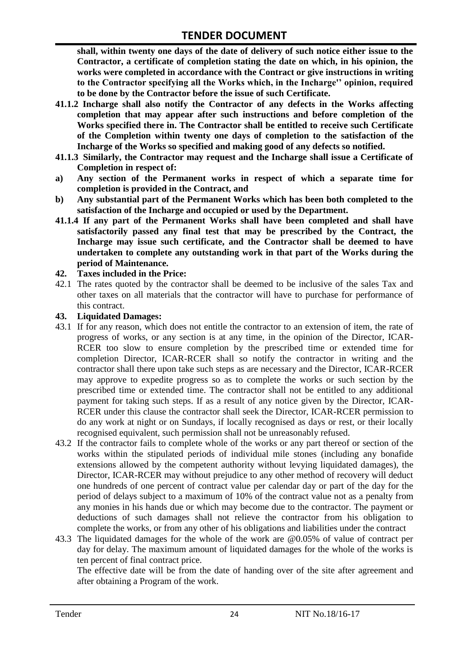**shall, within twenty one days of the date of delivery of such notice either issue to the Contractor, a certificate of completion stating the date on which, in his opinion, the works were completed in accordance with the Contract or give instructions in writing to the Contractor specifying all the Works which, in the Incharge'' opinion, required to be done by the Contractor before the issue of such Certificate.**

- **41.1.2 Incharge shall also notify the Contractor of any defects in the Works affecting completion that may appear after such instructions and before completion of the Works specified there in. The Contractor shall be entitled to receive such Certificate of the Completion within twenty one days of completion to the satisfaction of the Incharge of the Works so specified and making good of any defects so notified.**
- **41.1.3 Similarly, the Contractor may request and the Incharge shall issue a Certificate of Completion in respect of:**
- **a) Any section of the Permanent works in respect of which a separate time for completion is provided in the Contract, and**
- **b) Any substantial part of the Permanent Works which has been both completed to the satisfaction of the Incharge and occupied or used by the Department.**
- **41.1.4 If any part of the Permanent Works shall have been completed and shall have satisfactorily passed any final test that may be prescribed by the Contract, the Incharge may issue such certificate, and the Contractor shall be deemed to have undertaken to complete any outstanding work in that part of the Works during the period of Maintenance.**

#### **42. Taxes included in the Price:**

42.1 The rates quoted by the contractor shall be deemed to be inclusive of the sales Tax and other taxes on all materials that the contractor will have to purchase for performance of this contract.

#### **43. Liquidated Damages:**

- 43.1 If for any reason, which does not entitle the contractor to an extension of item, the rate of progress of works, or any section is at any time, in the opinion of the Director, ICAR-RCER too slow to ensure completion by the prescribed time or extended time for completion Director, ICAR-RCER shall so notify the contractor in writing and the contractor shall there upon take such steps as are necessary and the Director, ICAR-RCER may approve to expedite progress so as to complete the works or such section by the prescribed time or extended time. The contractor shall not be entitled to any additional payment for taking such steps. If as a result of any notice given by the Director, ICAR-RCER under this clause the contractor shall seek the Director, ICAR-RCER permission to do any work at night or on Sundays, if locally recognised as days or rest, or their locally recognised equivalent, such permission shall not be unreasonably refused.
- 43.2 If the contractor fails to complete whole of the works or any part thereof or section of the works within the stipulated periods of individual mile stones (including any bonafide extensions allowed by the competent authority without levying liquidated damages), the Director, ICAR-RCER may without prejudice to any other method of recovery will deduct one hundreds of one percent of contract value per calendar day or part of the day for the period of delays subject to a maximum of 10% of the contract value not as a penalty from any monies in his hands due or which may become due to the contractor. The payment or deductions of such damages shall not relieve the contractor from his obligation to complete the works, or from any other of his obligations and liabilities under the contract
- 43.3 The liquidated damages for the whole of the work are @0.05% of value of contract per day for delay. The maximum amount of liquidated damages for the whole of the works is ten percent of final contract price.

The effective date will be from the date of handing over of the site after agreement and after obtaining a Program of the work.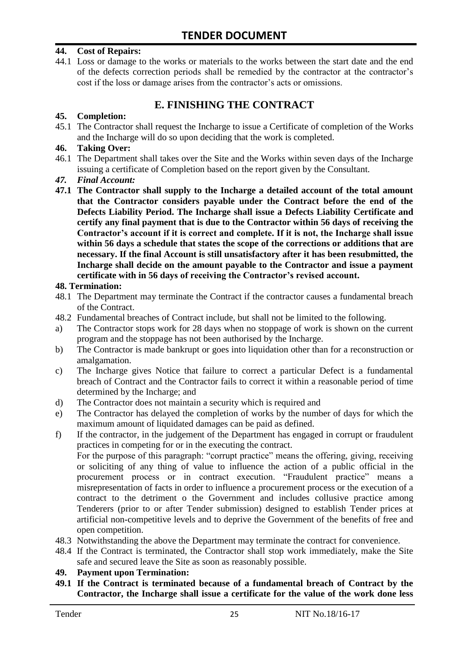#### **44. Cost of Repairs:**

44.1 Loss or damage to the works or materials to the works between the start date and the end of the defects correction periods shall be remedied by the contractor at the contractor"s cost if the loss or damage arises from the contractor's acts or omissions.

# **E. FINISHING THE CONTRACT**

#### **45. Completion:**

45.1 The Contractor shall request the Incharge to issue a Certificate of completion of the Works and the Incharge will do so upon deciding that the work is completed.

#### **46. Taking Over:**

- 46.1 The Department shall takes over the Site and the Works within seven days of the Incharge issuing a certificate of Completion based on the report given by the Consultant.
- *47. Final Account:*
- **47.1 The Contractor shall supply to the Incharge a detailed account of the total amount that the Contractor considers payable under the Contract before the end of the Defects Liability Period. The Incharge shall issue a Defects Liability Certificate and certify any final payment that is due to the Contractor within 56 days of receiving the Contractor's account if it is correct and complete. If it is not, the Incharge shall issue within 56 days a schedule that states the scope of the corrections or additions that are necessary. If the final Account is still unsatisfactory after it has been resubmitted, the Incharge shall decide on the amount payable to the Contractor and issue a payment certificate with in 56 days of receiving the Contractor's revised account.**

#### **48. Termination:**

- 48.1 The Department may terminate the Contract if the contractor causes a fundamental breach of the Contract.
- 48.2 Fundamental breaches of Contract include, but shall not be limited to the following.
- a) The Contractor stops work for 28 days when no stoppage of work is shown on the current program and the stoppage has not been authorised by the Incharge.
- b) The Contractor is made bankrupt or goes into liquidation other than for a reconstruction or amalgamation.
- c) The Incharge gives Notice that failure to correct a particular Defect is a fundamental breach of Contract and the Contractor fails to correct it within a reasonable period of time determined by the Incharge; and
- d) The Contractor does not maintain a security which is required and
- e) The Contractor has delayed the completion of works by the number of days for which the maximum amount of liquidated damages can be paid as defined.
- f) If the contractor, in the judgement of the Department has engaged in corrupt or fraudulent practices in competing for or in the executing the contract.

For the purpose of this paragraph: "corrupt practice" means the offering, giving, receiving or soliciting of any thing of value to influence the action of a public official in the procurement process or in contract execution. "Fraudulent practice" means a misrepresentation of facts in order to influence a procurement process or the execution of a contract to the detriment o the Government and includes collusive practice among Tenderers (prior to or after Tender submission) designed to establish Tender prices at artificial non-competitive levels and to deprive the Government of the benefits of free and open competition.

- 48.3 Notwithstanding the above the Department may terminate the contract for convenience.
- 48.4 If the Contract is terminated, the Contractor shall stop work immediately, make the Site safe and secured leave the Site as soon as reasonably possible.

#### **49. Payment upon Termination:**

**49.1 If the Contract is terminated because of a fundamental breach of Contract by the Contractor, the Incharge shall issue a certificate for the value of the work done less**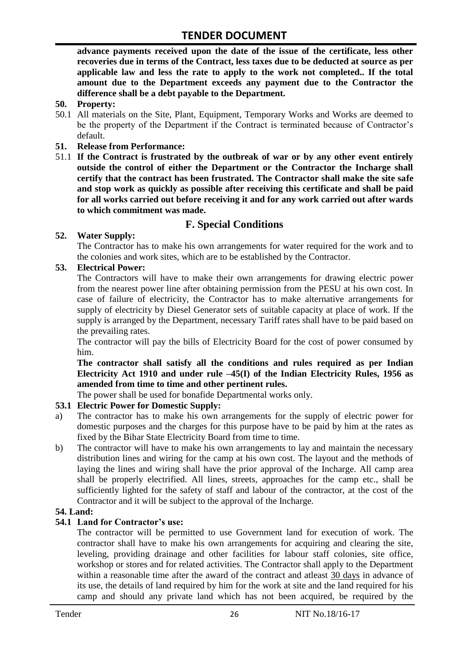**advance payments received upon the date of the issue of the certificate, less other recoveries due in terms of the Contract, less taxes due to be deducted at source as per applicable law and less the rate to apply to the work not completed.. If the total amount due to the Department exceeds any payment due to the Contractor the difference shall be a debt payable to the Department.**

- **50. Property:**
- 50.1 All materials on the Site, Plant, Equipment, Temporary Works and Works are deemed to be the property of the Department if the Contract is terminated because of Contractor's default.
- **51. Release from Performance:**
- 51.1 **If the Contract is frustrated by the outbreak of war or by any other event entirely outside the control of either the Department or the Contractor the Incharge shall certify that the contract has been frustrated. The Contractor shall make the site safe and stop work as quickly as possible after receiving this certificate and shall be paid for all works carried out before receiving it and for any work carried out after wards to which commitment was made.**

# **F. Special Conditions**

#### **52. Water Supply:**

The Contractor has to make his own arrangements for water required for the work and to the colonies and work sites, which are to be established by the Contractor.

#### **53. Electrical Power:**

The Contractors will have to make their own arrangements for drawing electric power from the nearest power line after obtaining permission from the PESU at his own cost. In case of failure of electricity, the Contractor has to make alternative arrangements for supply of electricity by Diesel Generator sets of suitable capacity at place of work. If the supply is arranged by the Department, necessary Tariff rates shall have to be paid based on the prevailing rates.

The contractor will pay the bills of Electricity Board for the cost of power consumed by him.

**The contractor shall satisfy all the conditions and rules required as per Indian Electricity Act 1910 and under rule –45(I) of the Indian Electricity Rules, 1956 as amended from time to time and other pertinent rules.**

The power shall be used for bonafide Departmental works only.

#### **53.1 Electric Power for Domestic Supply:**

- a) The contractor has to make his own arrangements for the supply of electric power for domestic purposes and the charges for this purpose have to be paid by him at the rates as fixed by the Bihar State Electricity Board from time to time.
- b) The contractor will have to make his own arrangements to lay and maintain the necessary distribution lines and wiring for the camp at his own cost. The layout and the methods of laying the lines and wiring shall have the prior approval of the Incharge. All camp area shall be properly electrified. All lines, streets, approaches for the camp etc., shall be sufficiently lighted for the safety of staff and labour of the contractor, at the cost of the Contractor and it will be subject to the approval of the Incharge.

#### **54. Land:**

#### **54.1 Land for Contractor's use:**

The contractor will be permitted to use Government land for execution of work. The contractor shall have to make his own arrangements for acquiring and clearing the site, leveling, providing drainage and other facilities for labour staff colonies, site office, workshop or stores and for related activities. The Contractor shall apply to the Department within a reasonable time after the award of the contract and atleast 30 days in advance of its use, the details of land required by him for the work at site and the land required for his camp and should any private land which has not been acquired, be required by the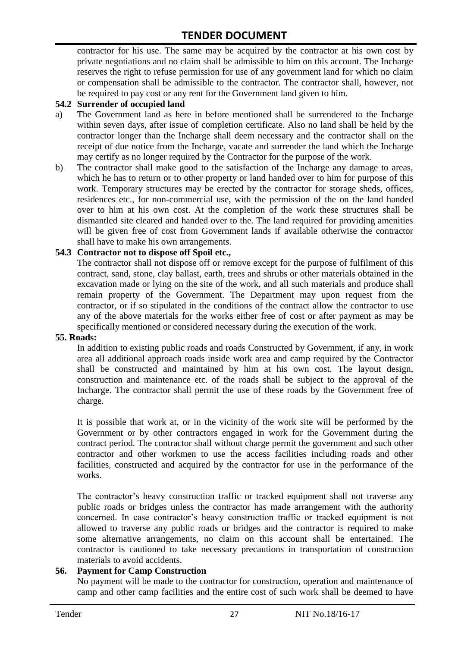contractor for his use. The same may be acquired by the contractor at his own cost by private negotiations and no claim shall be admissible to him on this account. The Incharge reserves the right to refuse permission for use of any government land for which no claim or compensation shall be admissible to the contractor. The contractor shall, however, not be required to pay cost or any rent for the Government land given to him.

#### **54.2 Surrender of occupied land**

- a) The Government land as here in before mentioned shall be surrendered to the Incharge within seven days, after issue of completion certificate. Also no land shall be held by the contractor longer than the Incharge shall deem necessary and the contractor shall on the receipt of due notice from the Incharge, vacate and surrender the land which the Incharge may certify as no longer required by the Contractor for the purpose of the work.
- b) The contractor shall make good to the satisfaction of the Incharge any damage to areas, which he has to return or to other property or land handed over to him for purpose of this work. Temporary structures may be erected by the contractor for storage sheds, offices, residences etc., for non-commercial use, with the permission of the on the land handed over to him at his own cost. At the completion of the work these structures shall be dismantled site cleared and handed over to the. The land required for providing amenities will be given free of cost from Government lands if available otherwise the contractor shall have to make his own arrangements.

#### **54.3 Contractor not to dispose off Spoil etc.,**

The contractor shall not dispose off or remove except for the purpose of fulfilment of this contract, sand, stone, clay ballast, earth, trees and shrubs or other materials obtained in the excavation made or lying on the site of the work, and all such materials and produce shall remain property of the Government. The Department may upon request from the contractor, or if so stipulated in the conditions of the contract allow the contractor to use any of the above materials for the works either free of cost or after payment as may be specifically mentioned or considered necessary during the execution of the work.

#### **55. Roads:**

In addition to existing public roads and roads Constructed by Government, if any, in work area all additional approach roads inside work area and camp required by the Contractor shall be constructed and maintained by him at his own cost. The layout design, construction and maintenance etc. of the roads shall be subject to the approval of the Incharge. The contractor shall permit the use of these roads by the Government free of charge.

It is possible that work at, or in the vicinity of the work site will be performed by the Government or by other contractors engaged in work for the Government during the contract period. The contractor shall without charge permit the government and such other contractor and other workmen to use the access facilities including roads and other facilities, constructed and acquired by the contractor for use in the performance of the works.

The contractor's heavy construction traffic or tracked equipment shall not traverse any public roads or bridges unless the contractor has made arrangement with the authority concerned. In case contractor"s heavy construction traffic or tracked equipment is not allowed to traverse any public roads or bridges and the contractor is required to make some alternative arrangements, no claim on this account shall be entertained. The contractor is cautioned to take necessary precautions in transportation of construction materials to avoid accidents.

#### **56. Payment for Camp Construction**

No payment will be made to the contractor for construction, operation and maintenance of camp and other camp facilities and the entire cost of such work shall be deemed to have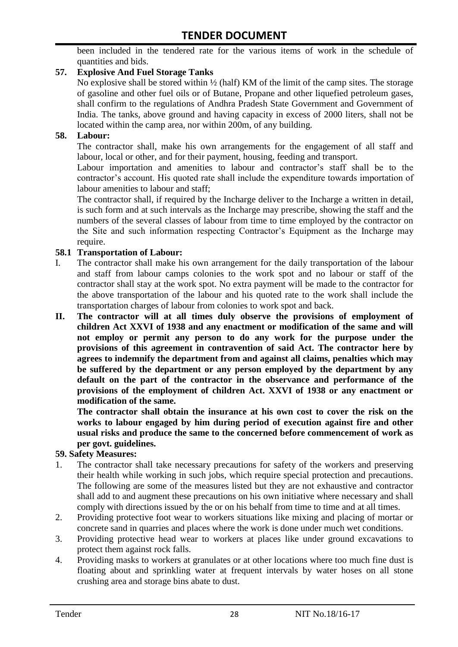been included in the tendered rate for the various items of work in the schedule of quantities and bids.

#### **57. Explosive And Fuel Storage Tanks**

No explosive shall be stored within ½ (half) KM of the limit of the camp sites. The storage of gasoline and other fuel oils or of Butane, Propane and other liquefied petroleum gases, shall confirm to the regulations of Andhra Pradesh State Government and Government of India. The tanks, above ground and having capacity in excess of 2000 liters, shall not be located within the camp area, nor within 200m, of any building.

#### **58. Labour:**

The contractor shall, make his own arrangements for the engagement of all staff and labour, local or other, and for their payment, housing, feeding and transport.

Labour importation and amenities to labour and contractor's staff shall be to the contractor's account. His quoted rate shall include the expenditure towards importation of labour amenities to labour and staff;

The contractor shall, if required by the Incharge deliver to the Incharge a written in detail, is such form and at such intervals as the Incharge may prescribe, showing the staff and the numbers of the several classes of labour from time to time employed by the contractor on the Site and such information respecting Contractor"s Equipment as the Incharge may require.

#### **58.1 Transportation of Labour:**

- I. The contractor shall make his own arrangement for the daily transportation of the labour and staff from labour camps colonies to the work spot and no labour or staff of the contractor shall stay at the work spot. No extra payment will be made to the contractor for the above transportation of the labour and his quoted rate to the work shall include the transportation charges of labour from colonies to work spot and back.
- **II. The contractor will at all times duly observe the provisions of employment of children Act XXVI of 1938 and any enactment or modification of the same and will not employ or permit any person to do any work for the purpose under the provisions of this agreement in contravention of said Act. The contractor here by agrees to indemnify the department from and against all claims, penalties which may be suffered by the department or any person employed by the department by any default on the part of the contractor in the observance and performance of the provisions of the employment of children Act. XXVI of 1938 or any enactment or modification of the same.**

**The contractor shall obtain the insurance at his own cost to cover the risk on the works to labour engaged by him during period of execution against fire and other usual risks and produce the same to the concerned before commencement of work as per govt. guidelines.**

#### **59. Safety Measures:**

- 1. The contractor shall take necessary precautions for safety of the workers and preserving their health while working in such jobs, which require special protection and precautions. The following are some of the measures listed but they are not exhaustive and contractor shall add to and augment these precautions on his own initiative where necessary and shall comply with directions issued by the or on his behalf from time to time and at all times.
- 2. Providing protective foot wear to workers situations like mixing and placing of mortar or concrete sand in quarries and places where the work is done under much wet conditions.
- 3. Providing protective head wear to workers at places like under ground excavations to protect them against rock falls.
- 4. Providing masks to workers at granulates or at other locations where too much fine dust is floating about and sprinkling water at frequent intervals by water hoses on all stone crushing area and storage bins abate to dust.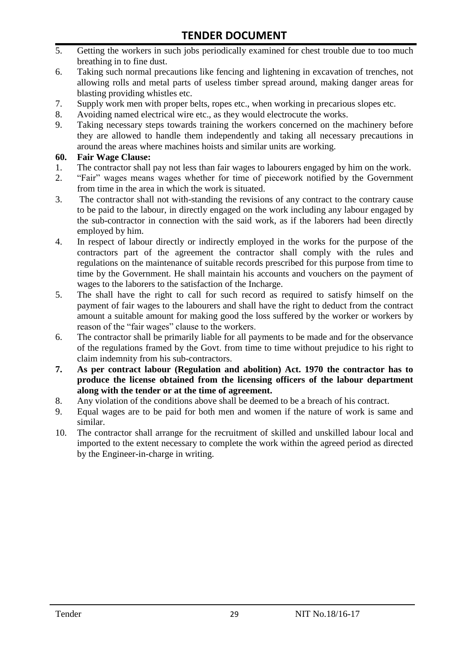- 5. Getting the workers in such jobs periodically examined for chest trouble due to too much breathing in to fine dust.
- 6. Taking such normal precautions like fencing and lightening in excavation of trenches, not allowing rolls and metal parts of useless timber spread around, making danger areas for blasting providing whistles etc.
- 7. Supply work men with proper belts, ropes etc., when working in precarious slopes etc.
- 8. Avoiding named electrical wire etc., as they would electrocute the works.
- 9. Taking necessary steps towards training the workers concerned on the machinery before they are allowed to handle them independently and taking all necessary precautions in around the areas where machines hoists and similar units are working.

#### **60. Fair Wage Clause:**

- 1. The contractor shall pay not less than fair wages to labourers engaged by him on the work.
- 2. "Fair" wages means wages whether for time of piecework notified by the Government from time in the area in which the work is situated.
- 3. The contractor shall not with-standing the revisions of any contract to the contrary cause to be paid to the labour, in directly engaged on the work including any labour engaged by the sub-contractor in connection with the said work, as if the laborers had been directly employed by him.
- 4. In respect of labour directly or indirectly employed in the works for the purpose of the contractors part of the agreement the contractor shall comply with the rules and regulations on the maintenance of suitable records prescribed for this purpose from time to time by the Government. He shall maintain his accounts and vouchers on the payment of wages to the laborers to the satisfaction of the Incharge.
- 5. The shall have the right to call for such record as required to satisfy himself on the payment of fair wages to the labourers and shall have the right to deduct from the contract amount a suitable amount for making good the loss suffered by the worker or workers by reason of the "fair wages" clause to the workers.
- 6. The contractor shall be primarily liable for all payments to be made and for the observance of the regulations framed by the Govt. from time to time without prejudice to his right to claim indemnity from his sub-contractors.
- **7. As per contract labour (Regulation and abolition) Act. 1970 the contractor has to produce the license obtained from the licensing officers of the labour department along with the tender or at the time of agreement.**
- 8. Any violation of the conditions above shall be deemed to be a breach of his contract.
- 9. Equal wages are to be paid for both men and women if the nature of work is same and similar.
- 10. The contractor shall arrange for the recruitment of skilled and unskilled labour local and imported to the extent necessary to complete the work within the agreed period as directed by the Engineer-in-charge in writing.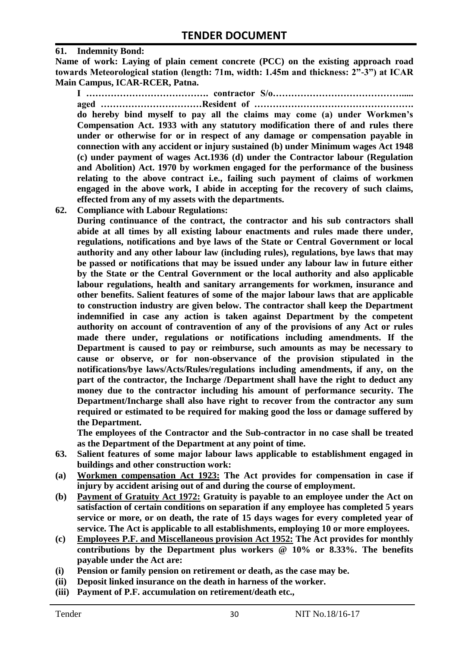#### **61. Indemnity Bond:**

**Name of work: Laying of plain cement concrete (PCC) on the existing approach road towards Meteorological station (length: 71m, width: 1.45m and thickness: 2"-3") at ICAR Main Campus, ICAR-RCER, Patna.**

**I …………………………………. contractor S/o……………………………………..... aged ……………………………Resident of …………………………………………….** 

**do hereby bind myself to pay all the claims may come (a) under Workmen's Compensation Act. 1933 with any statutory modification there of and rules there under or otherwise for or in respect of any damage or compensation payable in connection with any accident or injury sustained (b) under Minimum wages Act 1948 (c) under payment of wages Act.1936 (d) under the Contractor labour (Regulation and Abolition) Act. 1970 by workmen engaged for the performance of the business relating to the above contract i.e., failing such payment of claims of workmen engaged in the above work, I abide in accepting for the recovery of such claims, effected from any of my assets with the departments.**

**62. Compliance with Labour Regulations:**

**During continuance of the contract, the contractor and his sub contractors shall abide at all times by all existing labour enactments and rules made there under, regulations, notifications and bye laws of the State or Central Government or local authority and any other labour law (including rules), regulations, bye laws that may be passed or notifications that may be issued under any labour law in future either by the State or the Central Government or the local authority and also applicable labour regulations, health and sanitary arrangements for workmen, insurance and other benefits. Salient features of some of the major labour laws that are applicable to construction industry are given below. The contractor shall keep the Department indemnified in case any action is taken against Department by the competent authority on account of contravention of any of the provisions of any Act or rules made there under, regulations or notifications including amendments. If the Department is caused to pay or reimburse, such amounts as may be necessary to cause or observe, or for non-observance of the provision stipulated in the notifications/bye laws/Acts/Rules/regulations including amendments, if any, on the part of the contractor, the Incharge /Department shall have the right to deduct any money due to the contractor including his amount of performance security. The Department/Incharge shall also have right to recover from the contractor any sum required or estimated to be required for making good the loss or damage suffered by the Department.**

**The employees of the Contractor and the Sub-contractor in no case shall be treated as the Department of the Department at any point of time.**

- **63. Salient features of some major labour laws applicable to establishment engaged in buildings and other construction work:**
- **(a) Workmen compensation Act 1923: The Act provides for compensation in case if injury by accident arising out of and during the course of employment.**
- **(b) Payment of Gratuity Act 1972: Gratuity is payable to an employee under the Act on satisfaction of certain conditions on separation if any employee has completed 5 years service or more, or on death, the rate of 15 days wages for every completed year of service. The Act is applicable to all establishments, employing 10 or more employees.**
- **(c) Employees P.F. and Miscellaneous provision Act 1952: The Act provides for monthly contributions by the Department plus workers @ 10% or 8.33%. The benefits payable under the Act are:**
- **(i) Pension or family pension on retirement or death, as the case may be.**
- **(ii) Deposit linked insurance on the death in harness of the worker.**
- **(iii) Payment of P.F. accumulation on retirement/death etc.,**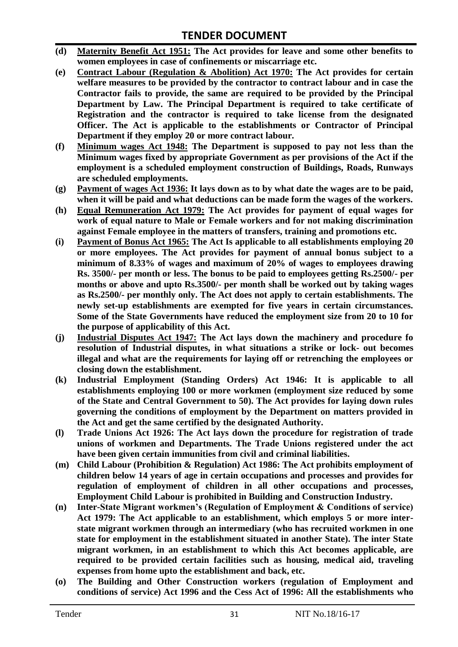- **(d) Maternity Benefit Act 1951: The Act provides for leave and some other benefits to women employees in case of confinements or miscarriage etc.**
- **(e) Contract Labour (Regulation & Abolition) Act 1970: The Act provides for certain welfare measures to be provided by the contractor to contract labour and in case the Contractor fails to provide, the same are required to be provided by the Principal Department by Law. The Principal Department is required to take certificate of Registration and the contractor is required to take license from the designated Officer. The Act is applicable to the establishments or Contractor of Principal Department if they employ 20 or more contract labour.**
- **(f) Minimum wages Act 1948: The Department is supposed to pay not less than the Minimum wages fixed by appropriate Government as per provisions of the Act if the employment is a scheduled employment construction of Buildings, Roads, Runways are scheduled employments.**
- **(g) Payment of wages Act 1936: It lays down as to by what date the wages are to be paid, when it will be paid and what deductions can be made form the wages of the workers.**
- **(h) Equal Remuneration Act 1979: The Act provides for payment of equal wages for work of equal nature to Male or Female workers and for not making discrimination against Female employee in the matters of transfers, training and promotions etc.**
- **(i) Payment of Bonus Act 1965: The Act Is applicable to all establishments employing 20 or more employees. The Act provides for payment of annual bonus subject to a minimum of 8.33% of wages and maximum of 20% of wages to employees drawing Rs. 3500/- per month or less. The bonus to be paid to employees getting Rs.2500/- per months or above and upto Rs.3500/- per month shall be worked out by taking wages as Rs.2500/- per monthly only. The Act does not apply to certain establishments. The newly set-up establishments are exempted for five years in certain circumstances. Some of the State Governments have reduced the employment size from 20 to 10 for the purpose of applicability of this Act.**
- **(j) Industrial Disputes Act 1947: The Act lays down the machinery and procedure fo resolution of Industrial disputes, in what situations a strike or lock- out becomes illegal and what are the requirements for laying off or retrenching the employees or closing down the establishment.**
- **(k) Industrial Employment (Standing Orders) Act 1946: It is applicable to all establishments employing 100 or more workmen (employment size reduced by some of the State and Central Government to 50). The Act provides for laying down rules governing the conditions of employment by the Department on matters provided in the Act and get the same certified by the designated Authority.**
- **(l) Trade Unions Act 1926: The Act lays down the procedure for registration of trade unions of workmen and Departments. The Trade Unions registered under the act have been given certain immunities from civil and criminal liabilities.**
- **(m) Child Labour (Prohibition & Regulation) Act 1986: The Act prohibits employment of children below 14 years of age in certain occupations and processes and provides for regulation of employment of children in all other occupations and processes, Employment Child Labour is prohibited in Building and Construction Industry.**
- **(n) Inter-State Migrant workmen's (Regulation of Employment & Conditions of service) Act 1979: The Act applicable to an establishment, which employs 5 or more interstate migrant workmen through an intermediary (who has recruited workmen in one state for employment in the establishment situated in another State). The inter State migrant workmen, in an establishment to which this Act becomes applicable, are required to be provided certain facilities such as housing, medical aid, traveling expenses from home upto the establishment and back, etc.**
- **(o) The Building and Other Construction workers (regulation of Employment and conditions of service) Act 1996 and the Cess Act of 1996: All the establishments who**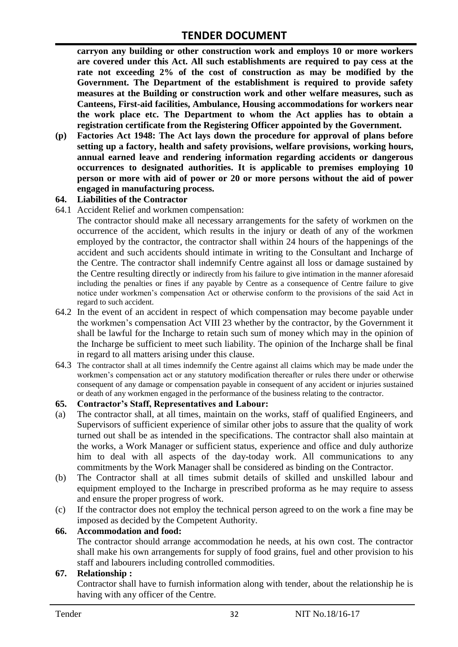**carryon any building or other construction work and employs 10 or more workers are covered under this Act. All such establishments are required to pay cess at the rate not exceeding 2% of the cost of construction as may be modified by the Government. The Department of the establishment is required to provide safety measures at the Building or construction work and other welfare measures, such as Canteens, First-aid facilities, Ambulance, Housing accommodations for workers near the work place etc. The Department to whom the Act applies has to obtain a registration certificate from the Registering Officer appointed by the Government.**

**(p) Factories Act 1948: The Act lays down the procedure for approval of plans before setting up a factory, health and safety provisions, welfare provisions, working hours, annual earned leave and rendering information regarding accidents or dangerous occurrences to designated authorities. It is applicable to premises employing 10 person or more with aid of power or 20 or more persons without the aid of power engaged in manufacturing process.**

#### **64. Liabilities of the Contractor**

64.1 Accident Relief and workmen compensation:

The contractor should make all necessary arrangements for the safety of workmen on the occurrence of the accident, which results in the injury or death of any of the workmen employed by the contractor, the contractor shall within 24 hours of the happenings of the accident and such accidents should intimate in writing to the Consultant and Incharge of the Centre. The contractor shall indemnify Centre against all loss or damage sustained by the Centre resulting directly or indirectly from his failure to give intimation in the manner aforesaid including the penalties or fines if any payable by Centre as a consequence of Centre failure to give notice under workmen"s compensation Act or otherwise conform to the provisions of the said Act in regard to such accident.

- 64.2 In the event of an accident in respect of which compensation may become payable under the workmen"s compensation Act VIII 23 whether by the contractor, by the Government it shall be lawful for the Incharge to retain such sum of money which may in the opinion of the Incharge be sufficient to meet such liability. The opinion of the Incharge shall be final in regard to all matters arising under this clause.
- 64.3 The contractor shall at all times indemnify the Centre against all claims which may be made under the workmen"s compensation act or any statutory modification thereafter or rules there under or otherwise consequent of any damage or compensation payable in consequent of any accident or injuries sustained or death of any workmen engaged in the performance of the business relating to the contractor.

#### **65. Contractor's Staff, Representatives and Labour:**

- (a) The contractor shall, at all times, maintain on the works, staff of qualified Engineers, and Supervisors of sufficient experience of similar other jobs to assure that the quality of work turned out shall be as intended in the specifications. The contractor shall also maintain at the works, a Work Manager or sufficient status, experience and office and duly authorize him to deal with all aspects of the day-today work. All communications to any commitments by the Work Manager shall be considered as binding on the Contractor.
- (b) The Contractor shall at all times submit details of skilled and unskilled labour and equipment employed to the Incharge in prescribed proforma as he may require to assess and ensure the proper progress of work.
- (c) If the contractor does not employ the technical person agreed to on the work a fine may be imposed as decided by the Competent Authority.

#### **66. Accommodation and food:**

The contractor should arrange accommodation he needs, at his own cost. The contractor shall make his own arrangements for supply of food grains, fuel and other provision to his staff and labourers including controlled commodities.

#### **67. Relationship :**

Contractor shall have to furnish information along with tender, about the relationship he is having with any officer of the Centre.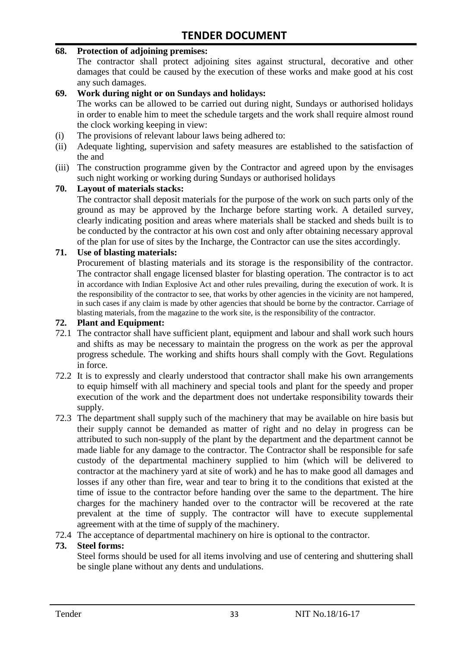#### **68. Protection of adjoining premises:**

The contractor shall protect adjoining sites against structural, decorative and other damages that could be caused by the execution of these works and make good at his cost any such damages.

#### **69. Work during night or on Sundays and holidays:**

The works can be allowed to be carried out during night, Sundays or authorised holidays in order to enable him to meet the schedule targets and the work shall require almost round the clock working keeping in view:

- (i) The provisions of relevant labour laws being adhered to:
- (ii) Adequate lighting, supervision and safety measures are established to the satisfaction of the and
- (iii) The construction programme given by the Contractor and agreed upon by the envisages such night working or working during Sundays or authorised holidays

#### **70. Layout of materials stacks:**

The contractor shall deposit materials for the purpose of the work on such parts only of the ground as may be approved by the Incharge before starting work. A detailed survey, clearly indicating position and areas where materials shall be stacked and sheds built is to be conducted by the contractor at his own cost and only after obtaining necessary approval of the plan for use of sites by the Incharge, the Contractor can use the sites accordingly.

#### **71. Use of blasting materials:**

Procurement of blasting materials and its storage is the responsibility of the contractor. The contractor shall engage licensed blaster for blasting operation. The contractor is to act in accordance with Indian Explosive Act and other rules prevailing, during the execution of work. It is the responsibility of the contractor to see, that works by other agencies in the vicinity are not hampered, in such cases if any claim is made by other agencies that should be borne by the contractor. Carriage of blasting materials, from the magazine to the work site, is the responsibility of the contractor.

#### **72. Plant and Equipment:**

- 72.1 The contractor shall have sufficient plant, equipment and labour and shall work such hours and shifts as may be necessary to maintain the progress on the work as per the approval progress schedule. The working and shifts hours shall comply with the Govt. Regulations in force.
- 72.2 It is to expressly and clearly understood that contractor shall make his own arrangements to equip himself with all machinery and special tools and plant for the speedy and proper execution of the work and the department does not undertake responsibility towards their supply.
- 72.3 The department shall supply such of the machinery that may be available on hire basis but their supply cannot be demanded as matter of right and no delay in progress can be attributed to such non-supply of the plant by the department and the department cannot be made liable for any damage to the contractor. The Contractor shall be responsible for safe custody of the departmental machinery supplied to him (which will be delivered to contractor at the machinery yard at site of work) and he has to make good all damages and losses if any other than fire, wear and tear to bring it to the conditions that existed at the time of issue to the contractor before handing over the same to the department. The hire charges for the machinery handed over to the contractor will be recovered at the rate prevalent at the time of supply. The contractor will have to execute supplemental agreement with at the time of supply of the machinery.
- 72.4 The acceptance of departmental machinery on hire is optional to the contractor.

#### **73. Steel forms:**

Steel forms should be used for all items involving and use of centering and shuttering shall be single plane without any dents and undulations.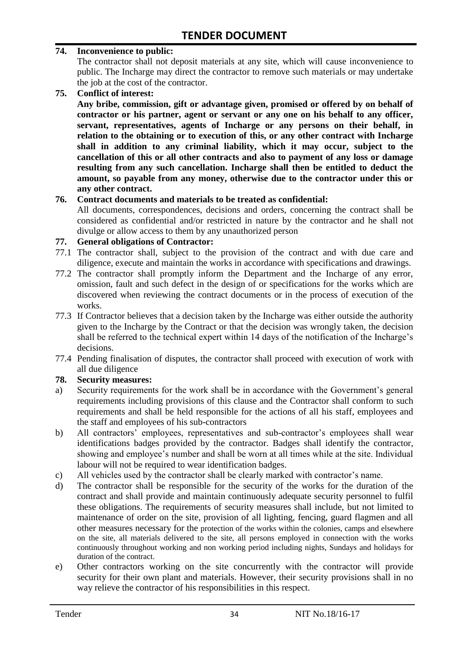#### **74. Inconvenience to public:**

The contractor shall not deposit materials at any site, which will cause inconvenience to public. The Incharge may direct the contractor to remove such materials or may undertake the job at the cost of the contractor.

**75. Conflict of interest:**

**Any bribe, commission, gift or advantage given, promised or offered by on behalf of contractor or his partner, agent or servant or any one on his behalf to any officer, servant, representatives, agents of Incharge or any persons on their behalf, in relation to the obtaining or to execution of this, or any other contract with Incharge shall in addition to any criminal liability, which it may occur, subject to the cancellation of this or all other contracts and also to payment of any loss or damage resulting from any such cancellation. Incharge shall then be entitled to deduct the amount, so payable from any money, otherwise due to the contractor under this or any other contract.**

#### **76. Contract documents and materials to be treated as confidential:**

All documents, correspondences, decisions and orders, concerning the contract shall be considered as confidential and/or restricted in nature by the contractor and he shall not divulge or allow access to them by any unauthorized person

#### **77. General obligations of Contractor:**

- 77.1 The contractor shall, subject to the provision of the contract and with due care and diligence, execute and maintain the works in accordance with specifications and drawings.
- 77.2 The contractor shall promptly inform the Department and the Incharge of any error, omission, fault and such defect in the design of or specifications for the works which are discovered when reviewing the contract documents or in the process of execution of the works.
- 77.3 If Contractor believes that a decision taken by the Incharge was either outside the authority given to the Incharge by the Contract or that the decision was wrongly taken, the decision shall be referred to the technical expert within 14 days of the notification of the Incharge's decisions.
- 77.4 Pending finalisation of disputes, the contractor shall proceed with execution of work with all due diligence

#### **78. Security measures:**

- a) Security requirements for the work shall be in accordance with the Government's general requirements including provisions of this clause and the Contractor shall conform to such requirements and shall be held responsible for the actions of all his staff, employees and the staff and employees of his sub-contractors
- b) All contractors' employees, representatives and sub-contractor's employees shall wear identifications badges provided by the contractor. Badges shall identify the contractor, showing and employee's number and shall be worn at all times while at the site. Individual labour will not be required to wear identification badges.
- c) All vehicles used by the contractor shall be clearly marked with contractor"s name.
- d) The contractor shall be responsible for the security of the works for the duration of the contract and shall provide and maintain continuously adequate security personnel to fulfil these obligations. The requirements of security measures shall include, but not limited to maintenance of order on the site, provision of all lighting, fencing, guard flagmen and all other measures necessary for the protection of the works within the colonies, camps and elsewhere on the site, all materials delivered to the site, all persons employed in connection with the works continuously throughout working and non working period including nights, Sundays and holidays for duration of the contract.
- e) Other contractors working on the site concurrently with the contractor will provide security for their own plant and materials. However, their security provisions shall in no way relieve the contractor of his responsibilities in this respect.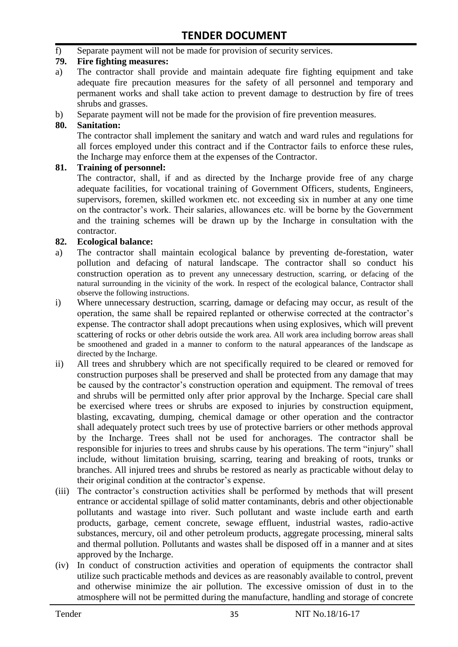f) Separate payment will not be made for provision of security services.

#### **79. Fire fighting measures:**

- a) The contractor shall provide and maintain adequate fire fighting equipment and take adequate fire precaution measures for the safety of all personnel and temporary and permanent works and shall take action to prevent damage to destruction by fire of trees shrubs and grasses.
- b) Separate payment will not be made for the provision of fire prevention measures.

#### **80. Sanitation:**

The contractor shall implement the sanitary and watch and ward rules and regulations for all forces employed under this contract and if the Contractor fails to enforce these rules, the Incharge may enforce them at the expenses of the Contractor.

#### **81. Training of personnel:**

The contractor, shall, if and as directed by the Incharge provide free of any charge adequate facilities, for vocational training of Government Officers, students, Engineers, supervisors, foremen, skilled workmen etc. not exceeding six in number at any one time on the contractor"s work. Their salaries, allowances etc. will be borne by the Government and the training schemes will be drawn up by the Incharge in consultation with the contractor.

#### **82. Ecological balance:**

- a) The contractor shall maintain ecological balance by preventing de-forestation, water pollution and defacing of natural landscape. The contractor shall so conduct his construction operation as to prevent any unnecessary destruction, scarring, or defacing of the natural surrounding in the vicinity of the work. In respect of the ecological balance, Contractor shall observe the following instructions.
- i) Where unnecessary destruction, scarring, damage or defacing may occur, as result of the operation, the same shall be repaired replanted or otherwise corrected at the contractor"s expense. The contractor shall adopt precautions when using explosives, which will prevent scattering of rocks or other debris outside the work area. All work area including borrow areas shall be smoothened and graded in a manner to conform to the natural appearances of the landscape as directed by the Incharge.
- ii) All trees and shrubbery which are not specifically required to be cleared or removed for construction purposes shall be preserved and shall be protected from any damage that may be caused by the contractor's construction operation and equipment. The removal of trees and shrubs will be permitted only after prior approval by the Incharge. Special care shall be exercised where trees or shrubs are exposed to injuries by construction equipment, blasting, excavating, dumping, chemical damage or other operation and the contractor shall adequately protect such trees by use of protective barriers or other methods approval by the Incharge. Trees shall not be used for anchorages. The contractor shall be responsible for injuries to trees and shrubs cause by his operations. The term "injury" shall include, without limitation bruising, scarring, tearing and breaking of roots, trunks or branches. All injured trees and shrubs be restored as nearly as practicable without delay to their original condition at the contractor"s expense.
- (iii) The contractor's construction activities shall be performed by methods that will present entrance or accidental spillage of solid matter contaminants, debris and other objectionable pollutants and wastage into river. Such pollutant and waste include earth and earth products, garbage, cement concrete, sewage effluent, industrial wastes, radio-active substances, mercury, oil and other petroleum products, aggregate processing, mineral salts and thermal pollution. Pollutants and wastes shall be disposed off in a manner and at sites approved by the Incharge.
- (iv) In conduct of construction activities and operation of equipments the contractor shall utilize such practicable methods and devices as are reasonably available to control, prevent and otherwise minimize the air pollution. The excessive omission of dust in to the atmosphere will not be permitted during the manufacture, handling and storage of concrete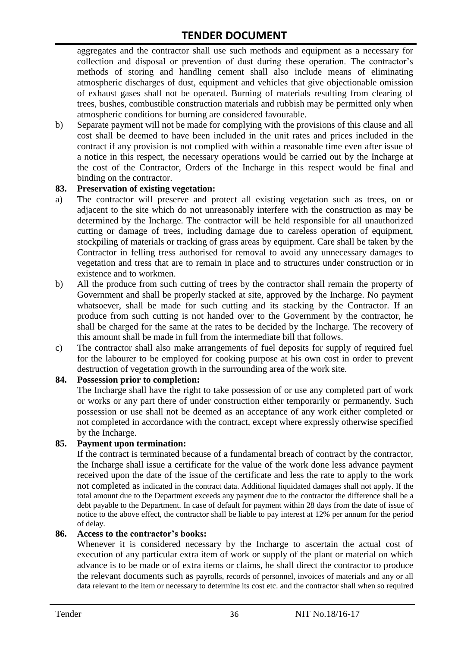aggregates and the contractor shall use such methods and equipment as a necessary for collection and disposal or prevention of dust during these operation. The contractor's methods of storing and handling cement shall also include means of eliminating atmospheric discharges of dust, equipment and vehicles that give objectionable omission of exhaust gases shall not be operated. Burning of materials resulting from clearing of trees, bushes, combustible construction materials and rubbish may be permitted only when atmospheric conditions for burning are considered favourable.

b) Separate payment will not be made for complying with the provisions of this clause and all cost shall be deemed to have been included in the unit rates and prices included in the contract if any provision is not complied with within a reasonable time even after issue of a notice in this respect, the necessary operations would be carried out by the Incharge at the cost of the Contractor, Orders of the Incharge in this respect would be final and binding on the contractor.

#### **83. Preservation of existing vegetation:**

- a) The contractor will preserve and protect all existing vegetation such as trees, on or adjacent to the site which do not unreasonably interfere with the construction as may be determined by the Incharge. The contractor will be held responsible for all unauthorized cutting or damage of trees, including damage due to careless operation of equipment, stockpiling of materials or tracking of grass areas by equipment. Care shall be taken by the Contractor in felling tress authorised for removal to avoid any unnecessary damages to vegetation and tress that are to remain in place and to structures under construction or in existence and to workmen.
- b) All the produce from such cutting of trees by the contractor shall remain the property of Government and shall be properly stacked at site, approved by the Incharge. No payment whatsoever, shall be made for such cutting and its stacking by the Contractor. If an produce from such cutting is not handed over to the Government by the contractor, he shall be charged for the same at the rates to be decided by the Incharge. The recovery of this amount shall be made in full from the intermediate bill that follows.
- c) The contractor shall also make arrangements of fuel deposits for supply of required fuel for the labourer to be employed for cooking purpose at his own cost in order to prevent destruction of vegetation growth in the surrounding area of the work site.

#### **84. Possession prior to completion:**

The Incharge shall have the right to take possession of or use any completed part of work or works or any part there of under construction either temporarily or permanently. Such possession or use shall not be deemed as an acceptance of any work either completed or not completed in accordance with the contract, except where expressly otherwise specified by the Incharge.

#### **85. Payment upon termination:**

If the contract is terminated because of a fundamental breach of contract by the contractor, the Incharge shall issue a certificate for the value of the work done less advance payment received upon the date of the issue of the certificate and less the rate to apply to the work not completed as indicated in the contract data. Additional liquidated damages shall not apply. If the total amount due to the Department exceeds any payment due to the contractor the difference shall be a debt payable to the Department. In case of default for payment within 28 days from the date of issue of notice to the above effect, the contractor shall be liable to pay interest at 12% per annum for the period of delay.

#### **86. Access to the contractor's books:**

Whenever it is considered necessary by the Incharge to ascertain the actual cost of execution of any particular extra item of work or supply of the plant or material on which advance is to be made or of extra items or claims, he shall direct the contractor to produce the relevant documents such as payrolls, records of personnel, invoices of materials and any or all data relevant to the item or necessary to determine its cost etc. and the contractor shall when so required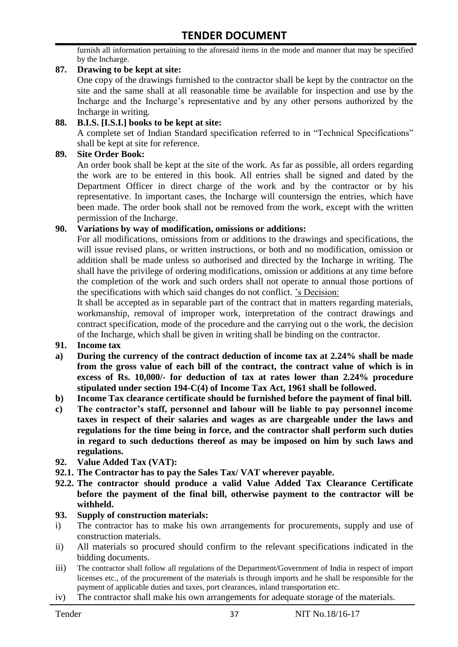furnish all information pertaining to the aforesaid items in the mode and manner that may be specified by the Incharge.

#### **87. Drawing to be kept at site:**

One copy of the drawings furnished to the contractor shall be kept by the contractor on the site and the same shall at all reasonable time be available for inspection and use by the Incharge and the Incharge"s representative and by any other persons authorized by the Incharge in writing.

#### **88. B.I.S. [I.S.I.] books to be kept at site:**

A complete set of Indian Standard specification referred to in "Technical Specifications" shall be kept at site for reference.

#### **89. Site Order Book:**

An order book shall be kept at the site of the work. As far as possible, all orders regarding the work are to be entered in this book. All entries shall be signed and dated by the Department Officer in direct charge of the work and by the contractor or by his representative. In important cases, the Incharge will countersign the entries, which have been made. The order book shall not be removed from the work, except with the written permission of the Incharge.

#### **90. Variations by way of modification, omissions or additions:**

For all modifications, omissions from or additions to the drawings and specifications, the will issue revised plans, or written instructions, or both and no modification, omission or addition shall be made unless so authorised and directed by the Incharge in writing. The shall have the privilege of ordering modifications, omission or additions at any time before the completion of the work and such orders shall not operate to annual those portions of the specifications with which said changes do not conflict. "s Decision:

It shall be accepted as in separable part of the contract that in matters regarding materials, workmanship, removal of improper work, interpretation of the contract drawings and contract specification, mode of the procedure and the carrying out o the work, the decision of the Incharge, which shall be given in writing shall be binding on the contractor.

- **91. Income tax**
- **a) During the currency of the contract deduction of income tax at 2.24% shall be made from the gross value of each bill of the contract, the contract value of which is in excess of Rs. 10,000/- for deduction of tax at rates lower than 2.24% procedure stipulated under section 194-C(4) of Income Tax Act, 1961 shall be followed.**
- **b) Income Tax clearance certificate should be furnished before the payment of final bill.**
- **c) The contractor's staff, personnel and labour will be liable to pay personnel income taxes in respect of their salaries and wages as are chargeable under the laws and regulations for the time being in force, and the contractor shall perform such duties in regard to such deductions thereof as may be imposed on him by such laws and regulations.**
- **92. Value Added Tax (VAT):**
- **92.1. The Contractor has to pay the Sales Tax/ VAT wherever payable.**
- **92.2. The contractor should produce a valid Value Added Tax Clearance Certificate before the payment of the final bill, otherwise payment to the contractor will be withheld.**

#### **93. Supply of construction materials:**

- i) The contractor has to make his own arrangements for procurements, supply and use of construction materials.
- ii) All materials so procured should confirm to the relevant specifications indicated in the bidding documents.
- iii) The contractor shall follow all regulations of the Department/Government of India in respect of import licenses etc., of the procurement of the materials is through imports and he shall be responsible for the payment of applicable duties and taxes, port clearances, inland transportation etc.
- iv) The contractor shall make his own arrangements for adequate storage of the materials.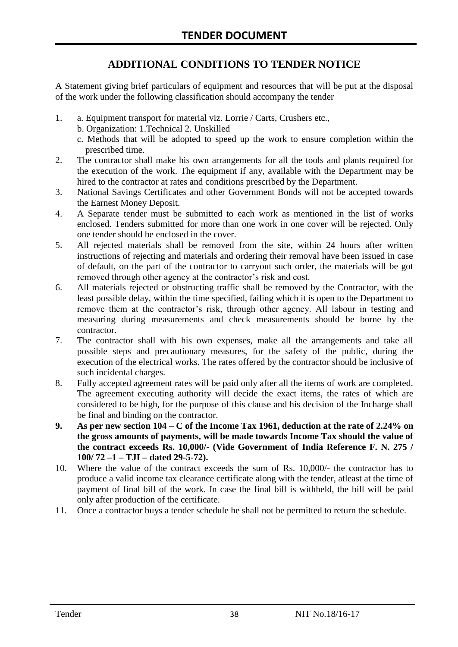# **ADDITIONAL CONDITIONS TO TENDER NOTICE**

A Statement giving brief particulars of equipment and resources that will be put at the disposal of the work under the following classification should accompany the tender

- 1. a. Equipment transport for material viz. Lorrie / Carts, Crushers etc.,
	- b. Organization: 1.Technical 2. Unskilled
	- c. Methods that will be adopted to speed up the work to ensure completion within the prescribed time.
- 2. The contractor shall make his own arrangements for all the tools and plants required for the execution of the work. The equipment if any, available with the Department may be hired to the contractor at rates and conditions prescribed by the Department.
- 3. National Savings Certificates and other Government Bonds will not be accepted towards the Earnest Money Deposit.
- 4. A Separate tender must be submitted to each work as mentioned in the list of works enclosed. Tenders submitted for more than one work in one cover will be rejected. Only one tender should be enclosed in the cover.
- 5. All rejected materials shall be removed from the site, within 24 hours after written instructions of rejecting and materials and ordering their removal have been issued in case of default, on the part of the contractor to carryout such order, the materials will be got removed through other agency at the contractor's risk and cost.
- 6. All materials rejected or obstructing traffic shall be removed by the Contractor, with the least possible delay, within the time specified, failing which it is open to the Department to remove them at the contractor's risk, through other agency. All labour in testing and measuring during measurements and check measurements should be borne by the contractor.
- 7. The contractor shall with his own expenses, make all the arrangements and take all possible steps and precautionary measures, for the safety of the public, during the execution of the electrical works. The rates offered by the contractor should be inclusive of such incidental charges.
- 8. Fully accepted agreement rates will be paid only after all the items of work are completed. The agreement executing authority will decide the exact items, the rates of which are considered to be high, for the purpose of this clause and his decision of the Incharge shall be final and binding on the contractor.
- **9. As per new section 104 – C of the Income Tax 1961, deduction at the rate of 2.24% on the gross amounts of payments, will be made towards Income Tax should the value of the contract exceeds Rs. 10,000/- (Vide Government of India Reference F. N. 275 / 100/ 72 –1 – TJI – dated 29-5-72).**
- 10. Where the value of the contract exceeds the sum of Rs. 10,000/- the contractor has to produce a valid income tax clearance certificate along with the tender, atleast at the time of payment of final bill of the work. In case the final bill is withheld, the bill will be paid only after production of the certificate.
- 11. Once a contractor buys a tender schedule he shall not be permitted to return the schedule.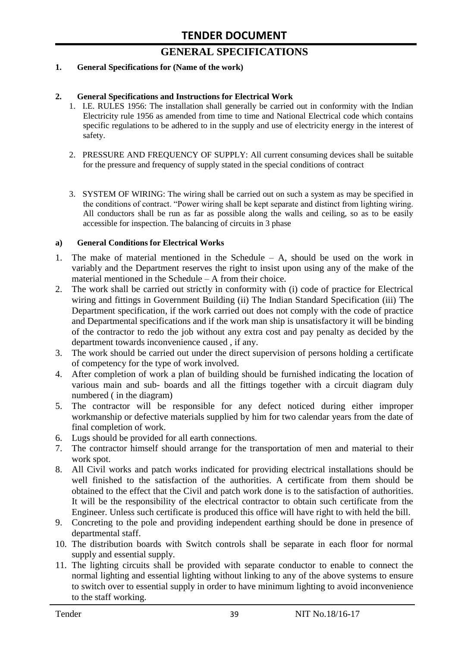# **GENERAL SPECIFICATIONS**

#### **1. General Specifications for (Name of the work)**

#### **2. General Specifications and Instructions for Electrical Work**

- 1. I.E. RULES 1956: The installation shall generally be carried out in conformity with the Indian Electricity rule 1956 as amended from time to time and National Electrical code which contains specific regulations to be adhered to in the supply and use of electricity energy in the interest of safety.
- 2. PRESSURE AND FREQUENCY OF SUPPLY: All current consuming devices shall be suitable for the pressure and frequency of supply stated in the special conditions of contract
- 3. SYSTEM OF WIRING: The wiring shall be carried out on such a system as may be specified in the conditions of contract. "Power wiring shall be kept separate and distinct from lighting wiring. All conductors shall be run as far as possible along the walls and ceiling, so as to be easily accessible for inspection. The balancing of circuits in 3 phase

#### **a) General Conditions for Electrical Works**

- 1. The make of material mentioned in the Schedule A, should be used on the work in variably and the Department reserves the right to insist upon using any of the make of the material mentioned in the Schedule – A from their choice.
- 2. The work shall be carried out strictly in conformity with (i) code of practice for Electrical wiring and fittings in Government Building (ii) The Indian Standard Specification (iii) The Department specification, if the work carried out does not comply with the code of practice and Departmental specifications and if the work man ship is unsatisfactory it will be binding of the contractor to redo the job without any extra cost and pay penalty as decided by the department towards inconvenience caused , if any.
- 3. The work should be carried out under the direct supervision of persons holding a certificate of competency for the type of work involved.
- 4. After completion of work a plan of building should be furnished indicating the location of various main and sub- boards and all the fittings together with a circuit diagram duly numbered ( in the diagram)
- 5. The contractor will be responsible for any defect noticed during either improper workmanship or defective materials supplied by him for two calendar years from the date of final completion of work.
- 6. Lugs should be provided for all earth connections.
- 7. The contractor himself should arrange for the transportation of men and material to their work spot.
- 8. All Civil works and patch works indicated for providing electrical installations should be well finished to the satisfaction of the authorities. A certificate from them should be obtained to the effect that the Civil and patch work done is to the satisfaction of authorities. It will be the responsibility of the electrical contractor to obtain such certificate from the Engineer. Unless such certificate is produced this office will have right to with held the bill.
- 9. Concreting to the pole and providing independent earthing should be done in presence of departmental staff.
- 10. The distribution boards with Switch controls shall be separate in each floor for normal supply and essential supply.
- 11. The lighting circuits shall be provided with separate conductor to enable to connect the normal lighting and essential lighting without linking to any of the above systems to ensure to switch over to essential supply in order to have minimum lighting to avoid inconvenience to the staff working.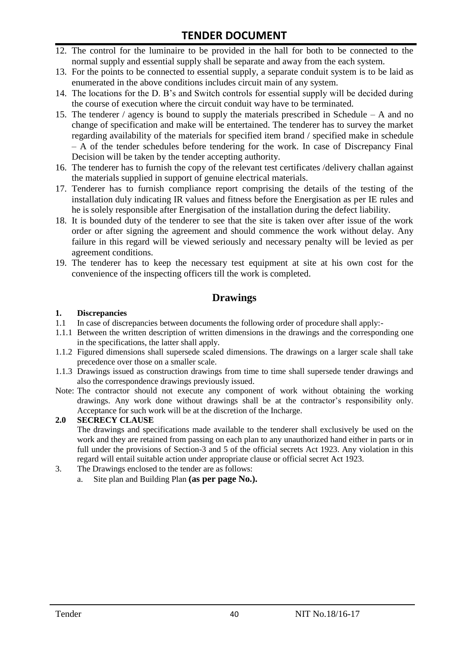- 12. The control for the luminaire to be provided in the hall for both to be connected to the normal supply and essential supply shall be separate and away from the each system.
- 13. For the points to be connected to essential supply, a separate conduit system is to be laid as enumerated in the above conditions includes circuit main of any system.
- 14. The locations for the D. B"s and Switch controls for essential supply will be decided during the course of execution where the circuit conduit way have to be terminated.
- 15. The tenderer / agency is bound to supply the materials prescribed in Schedule A and no change of specification and make will be entertained. The tenderer has to survey the market regarding availability of the materials for specified item brand / specified make in schedule – A of the tender schedules before tendering for the work. In case of Discrepancy Final Decision will be taken by the tender accepting authority.
- 16. The tenderer has to furnish the copy of the relevant test certificates /delivery challan against the materials supplied in support of genuine electrical materials.
- 17. Tenderer has to furnish compliance report comprising the details of the testing of the installation duly indicating IR values and fitness before the Energisation as per IE rules and he is solely responsible after Energisation of the installation during the defect liability.
- 18. It is bounded duty of the tenderer to see that the site is taken over after issue of the work order or after signing the agreement and should commence the work without delay. Any failure in this regard will be viewed seriously and necessary penalty will be levied as per agreement conditions.
- 19. The tenderer has to keep the necessary test equipment at site at his own cost for the convenience of the inspecting officers till the work is completed.

#### **Drawings**

#### **1. Discrepancies**

- 1.1 In case of discrepancies between documents the following order of procedure shall apply:-
- 1.1.1 Between the written description of written dimensions in the drawings and the corresponding one in the specifications, the latter shall apply.
- 1.1.2 Figured dimensions shall supersede scaled dimensions. The drawings on a larger scale shall take precedence over those on a smaller scale.
- 1.1.3 Drawings issued as construction drawings from time to time shall supersede tender drawings and also the correspondence drawings previously issued.
- Note: The contractor should not execute any component of work without obtaining the working drawings. Any work done without drawings shall be at the contractor"s responsibility only. Acceptance for such work will be at the discretion of the Incharge.

#### **2.0 SECRECY CLAUSE**

The drawings and specifications made available to the tenderer shall exclusively be used on the work and they are retained from passing on each plan to any unauthorized hand either in parts or in full under the provisions of Section-3 and 5 of the official secrets Act 1923. Any violation in this regard will entail suitable action under appropriate clause or official secret Act 1923.

- 3. The Drawings enclosed to the tender are as follows:
	- a. Site plan and Building Plan **(as per page No.).**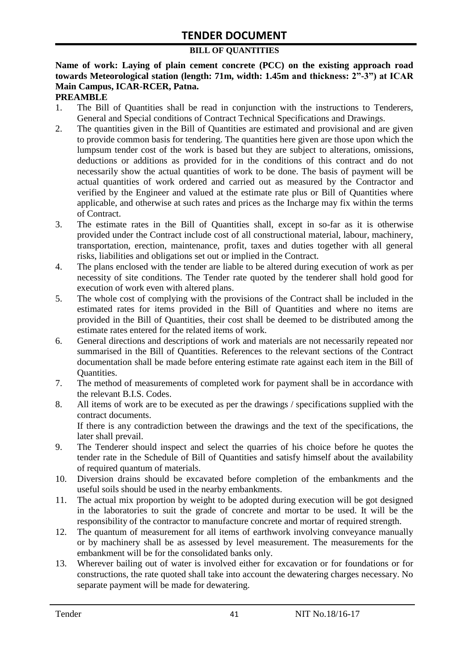#### **BILL OF QUANTITIES**

**Name of work: Laying of plain cement concrete (PCC) on the existing approach road towards Meteorological station (length: 71m, width: 1.45m and thickness: 2"-3") at ICAR Main Campus, ICAR-RCER, Patna.**

#### **PREAMBLE**

- 1. The Bill of Quantities shall be read in conjunction with the instructions to Tenderers, General and Special conditions of Contract Technical Specifications and Drawings.
- 2. The quantities given in the Bill of Quantities are estimated and provisional and are given to provide common basis for tendering. The quantities here given are those upon which the lumpsum tender cost of the work is based but they are subject to alterations, omissions, deductions or additions as provided for in the conditions of this contract and do not necessarily show the actual quantities of work to be done. The basis of payment will be actual quantities of work ordered and carried out as measured by the Contractor and verified by the Engineer and valued at the estimate rate plus or Bill of Quantities where applicable, and otherwise at such rates and prices as the Incharge may fix within the terms of Contract.
- 3. The estimate rates in the Bill of Quantities shall, except in so-far as it is otherwise provided under the Contract include cost of all constructional material, labour, machinery, transportation, erection, maintenance, profit, taxes and duties together with all general risks, liabilities and obligations set out or implied in the Contract.
- 4. The plans enclosed with the tender are liable to be altered during execution of work as per necessity of site conditions. The Tender rate quoted by the tenderer shall hold good for execution of work even with altered plans.
- 5. The whole cost of complying with the provisions of the Contract shall be included in the estimated rates for items provided in the Bill of Quantities and where no items are provided in the Bill of Quantities, their cost shall be deemed to be distributed among the estimate rates entered for the related items of work.
- 6. General directions and descriptions of work and materials are not necessarily repeated nor summarised in the Bill of Quantities. References to the relevant sections of the Contract documentation shall be made before entering estimate rate against each item in the Bill of Quantities.
- 7. The method of measurements of completed work for payment shall be in accordance with the relevant B.I.S. Codes.
- 8. All items of work are to be executed as per the drawings / specifications supplied with the contract documents. If there is any contradiction between the drawings and the text of the specifications, the later shall prevail.
- 9. The Tenderer should inspect and select the quarries of his choice before he quotes the tender rate in the Schedule of Bill of Quantities and satisfy himself about the availability of required quantum of materials.
- 10. Diversion drains should be excavated before completion of the embankments and the useful soils should be used in the nearby embankments.
- 11. The actual mix proportion by weight to be adopted during execution will be got designed in the laboratories to suit the grade of concrete and mortar to be used. It will be the responsibility of the contractor to manufacture concrete and mortar of required strength.
- 12. The quantum of measurement for all items of earthwork involving conveyance manually or by machinery shall be as assessed by level measurement. The measurements for the embankment will be for the consolidated banks only.
- 13. Wherever bailing out of water is involved either for excavation or for foundations or for constructions, the rate quoted shall take into account the dewatering charges necessary. No separate payment will be made for dewatering.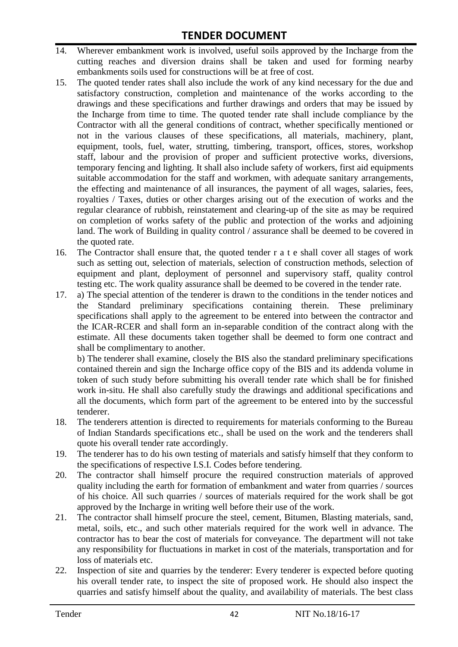- 14. Wherever embankment work is involved, useful soils approved by the Incharge from the cutting reaches and diversion drains shall be taken and used for forming nearby embankments soils used for constructions will be at free of cost.
- 15. The quoted tender rates shall also include the work of any kind necessary for the due and satisfactory construction, completion and maintenance of the works according to the drawings and these specifications and further drawings and orders that may be issued by the Incharge from time to time. The quoted tender rate shall include compliance by the Contractor with all the general conditions of contract, whether specifically mentioned or not in the various clauses of these specifications, all materials, machinery, plant, equipment, tools, fuel, water, strutting, timbering, transport, offices, stores, workshop staff, labour and the provision of proper and sufficient protective works, diversions, temporary fencing and lighting. It shall also include safety of workers, first aid equipments suitable accommodation for the staff and workmen, with adequate sanitary arrangements, the effecting and maintenance of all insurances, the payment of all wages, salaries, fees, royalties / Taxes, duties or other charges arising out of the execution of works and the regular clearance of rubbish, reinstatement and clearing-up of the site as may be required on completion of works safety of the public and protection of the works and adjoining land. The work of Building in quality control / assurance shall be deemed to be covered in the quoted rate.
- 16. The Contractor shall ensure that, the quoted tender r a t e shall cover all stages of work such as setting out, selection of materials, selection of construction methods, selection of equipment and plant, deployment of personnel and supervisory staff, quality control testing etc. The work quality assurance shall be deemed to be covered in the tender rate.
- 17. a) The special attention of the tenderer is drawn to the conditions in the tender notices and the Standard preliminary specifications containing therein. These preliminary specifications shall apply to the agreement to be entered into between the contractor and the ICAR-RCER and shall form an in-separable condition of the contract along with the estimate. All these documents taken together shall be deemed to form one contract and shall be complimentary to another.

b) The tenderer shall examine, closely the BIS also the standard preliminary specifications contained therein and sign the Incharge office copy of the BIS and its addenda volume in token of such study before submitting his overall tender rate which shall be for finished work in-situ. He shall also carefully study the drawings and additional specifications and all the documents, which form part of the agreement to be entered into by the successful tenderer.

- 18. The tenderers attention is directed to requirements for materials conforming to the Bureau of Indian Standards specifications etc., shall be used on the work and the tenderers shall quote his overall tender rate accordingly.
- 19. The tenderer has to do his own testing of materials and satisfy himself that they conform to the specifications of respective I.S.I. Codes before tendering.
- 20. The contractor shall himself procure the required construction materials of approved quality including the earth for formation of embankment and water from quarries / sources of his choice. All such quarries / sources of materials required for the work shall be got approved by the Incharge in writing well before their use of the work.
- 21. The contractor shall himself procure the steel, cement, Bitumen, Blasting materials, sand, metal, soils, etc., and such other materials required for the work well in advance. The contractor has to bear the cost of materials for conveyance. The department will not take any responsibility for fluctuations in market in cost of the materials, transportation and for loss of materials etc.
- 22. Inspection of site and quarries by the tenderer: Every tenderer is expected before quoting his overall tender rate, to inspect the site of proposed work. He should also inspect the quarries and satisfy himself about the quality, and availability of materials. The best class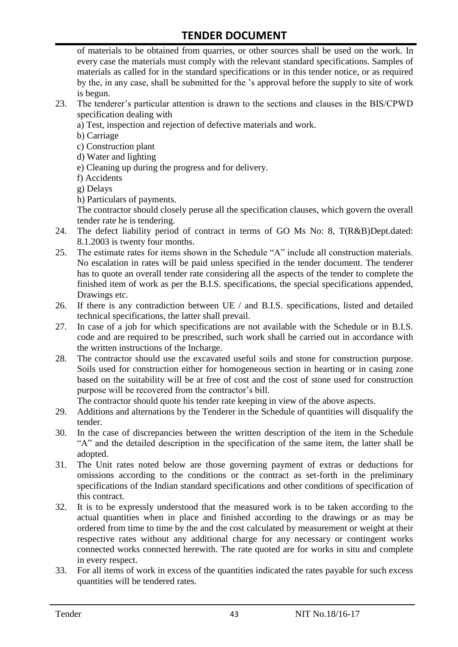of materials to be obtained from quarries, or other sources shall be used on the work. In every case the materials must comply with the relevant standard specifications. Samples of materials as called for in the standard specifications or in this tender notice, or as required by the, in any case, shall be submitted for the "s approval before the supply to site of work is begun.

- 23. The tenderer"s particular attention is drawn to the sections and clauses in the BIS/CPWD specification dealing with
	- a) Test, inspection and rejection of defective materials and work.
	- b) Carriage
	- c) Construction plant
	- d) Water and lighting
	- e) Cleaning up during the progress and for delivery.
	- f) Accidents
	- g) Delays
	- h) Particulars of payments.

The contractor should closely peruse all the specification clauses, which govern the overall tender rate he is tendering.

- 24. The defect liability period of contract in terms of GO Ms No: 8, T(R&B)Dept.dated: 8.1.2003 is twenty four months.
- 25. The estimate rates for items shown in the Schedule "A" include all construction materials. No escalation in rates will be paid unless specified in the tender document. The tenderer has to quote an overall tender rate considering all the aspects of the tender to complete the finished item of work as per the B.I.S. specifications, the special specifications appended, Drawings etc.
- 26. If there is any contradiction between UE / and B.I.S. specifications, listed and detailed technical specifications, the latter shall prevail.
- 27. In case of a job for which specifications are not available with the Schedule or in B.I.S. code and are required to be prescribed, such work shall be carried out in accordance with the written instructions of the Incharge.
- 28. The contractor should use the excavated useful soils and stone for construction purpose. Soils used for construction either for homogeneous section in hearting or in casing zone based on the suitability will be at free of cost and the cost of stone used for construction purpose will be recovered from the contractor's bill.

The contractor should quote his tender rate keeping in view of the above aspects.

- 29. Additions and alternations by the Tenderer in the Schedule of quantities will disqualify the tender.
- 30. In the case of discrepancies between the written description of the item in the Schedule "A" and the detailed description in the specification of the same item, the latter shall be adopted.
- 31. The Unit rates noted below are those governing payment of extras or deductions for omissions according to the conditions or the contract as set-forth in the preliminary specifications of the Indian standard specifications and other conditions of specification of this contract.
- 32. It is to be expressly understood that the measured work is to be taken according to the actual quantities when in place and finished according to the drawings or as may be ordered from time to time by the and the cost calculated by measurement or weight at their respective rates without any additional charge for any necessary or contingent works connected works connected herewith. The rate quoted are for works in situ and complete in every respect.
- 33. For all items of work in excess of the quantities indicated the rates payable for such excess quantities will be tendered rates.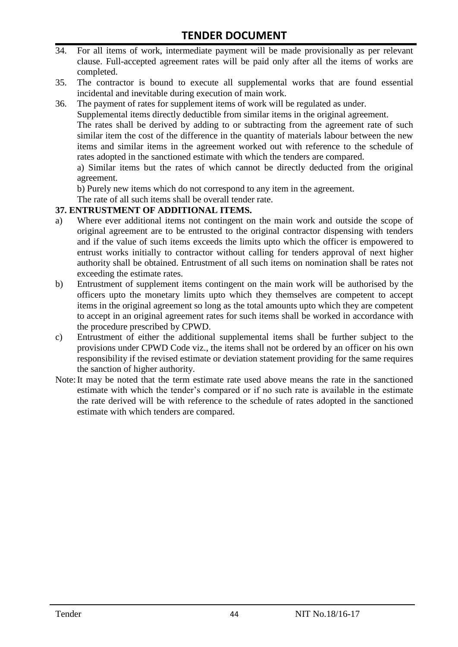- 34. For all items of work, intermediate payment will be made provisionally as per relevant clause. Full-accepted agreement rates will be paid only after all the items of works are completed.
- 35. The contractor is bound to execute all supplemental works that are found essential incidental and inevitable during execution of main work.
- 36. The payment of rates for supplement items of work will be regulated as under.

Supplemental items directly deductible from similar items in the original agreement.

The rates shall be derived by adding to or subtracting from the agreement rate of such similar item the cost of the difference in the quantity of materials labour between the new items and similar items in the agreement worked out with reference to the schedule of rates adopted in the sanctioned estimate with which the tenders are compared.

a) Similar items but the rates of which cannot be directly deducted from the original agreement.

b) Purely new items which do not correspond to any item in the agreement.

The rate of all such items shall be overall tender rate.

#### **37. ENTRUSTMENT OF ADDITIONAL ITEMS.**

- a) Where ever additional items not contingent on the main work and outside the scope of original agreement are to be entrusted to the original contractor dispensing with tenders and if the value of such items exceeds the limits upto which the officer is empowered to entrust works initially to contractor without calling for tenders approval of next higher authority shall be obtained. Entrustment of all such items on nomination shall be rates not exceeding the estimate rates.
- b) Entrustment of supplement items contingent on the main work will be authorised by the officers upto the monetary limits upto which they themselves are competent to accept items in the original agreement so long as the total amounts upto which they are competent to accept in an original agreement rates for such items shall be worked in accordance with the procedure prescribed by CPWD.
- c) Entrustment of either the additional supplemental items shall be further subject to the provisions under CPWD Code viz., the items shall not be ordered by an officer on his own responsibility if the revised estimate or deviation statement providing for the same requires the sanction of higher authority.
- Note:It may be noted that the term estimate rate used above means the rate in the sanctioned estimate with which the tender"s compared or if no such rate is available in the estimate the rate derived will be with reference to the schedule of rates adopted in the sanctioned estimate with which tenders are compared.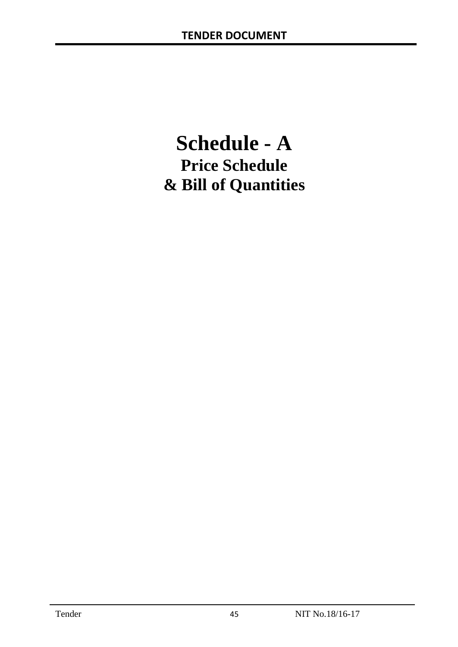# **Schedule - A Price Schedule & Bill of Quantities**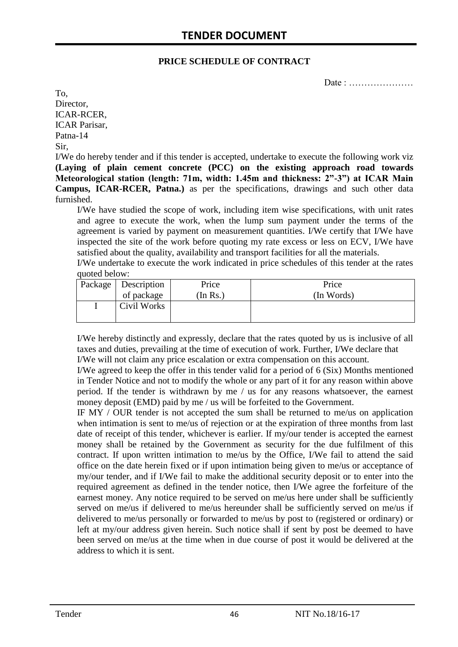#### **PRICE SCHEDULE OF CONTRACT**

Date : …………………

To, Director, ICAR-RCER, ICAR Parisar, Patna-14 Sir,

I/We do hereby tender and if this tender is accepted, undertake to execute the following work viz **(Laying of plain cement concrete (PCC) on the existing approach road towards Meteorological station (length: 71m, width: 1.45m and thickness: 2"-3") at ICAR Main Campus, ICAR-RCER, Patna.)** as per the specifications, drawings and such other data furnished.

I/We have studied the scope of work, including item wise specifications, with unit rates and agree to execute the work, when the lump sum payment under the terms of the agreement is varied by payment on measurement quantities. I/We certify that I/We have inspected the site of the work before quoting my rate excess or less on ECV, I/We have satisfied about the quality, availability and transport facilities for all the materials.

I/We undertake to execute the work indicated in price schedules of this tender at the rates quoted below:

| Package   Description | Price    | Price      |
|-----------------------|----------|------------|
| of package            | In $Rs.$ | (In Words) |
| Civil Works           |          |            |

I/We hereby distinctly and expressly, declare that the rates quoted by us is inclusive of all taxes and duties, prevailing at the time of execution of work. Further, I/We declare that I/We will not claim any price escalation or extra compensation on this account.

I/We agreed to keep the offer in this tender valid for a period of 6 (Six) Months mentioned in Tender Notice and not to modify the whole or any part of it for any reason within above period. If the tender is withdrawn by me / us for any reasons whatsoever, the earnest money deposit (EMD) paid by me / us will be forfeited to the Government.

IF MY / OUR tender is not accepted the sum shall be returned to me/us on application when intimation is sent to me/us of rejection or at the expiration of three months from last date of receipt of this tender, whichever is earlier. If my/our tender is accepted the earnest money shall be retained by the Government as security for the due fulfilment of this contract. If upon written intimation to me/us by the Office, I/We fail to attend the said office on the date herein fixed or if upon intimation being given to me/us or acceptance of my/our tender, and if I/We fail to make the additional security deposit or to enter into the required agreement as defined in the tender notice, then I/We agree the forfeiture of the earnest money. Any notice required to be served on me/us here under shall be sufficiently served on me/us if delivered to me/us hereunder shall be sufficiently served on me/us if delivered to me/us personally or forwarded to me/us by post to (registered or ordinary) or left at my/our address given herein. Such notice shall if sent by post be deemed to have been served on me/us at the time when in due course of post it would be delivered at the address to which it is sent.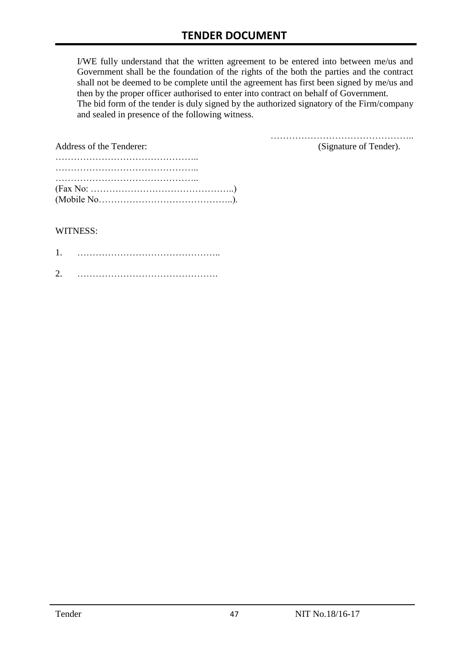I/WE fully understand that the written agreement to be entered into between me/us and Government shall be the foundation of the rights of the both the parties and the contract shall not be deemed to be complete until the agreement has first been signed by me/us and then by the proper officer authorised to enter into contract on behalf of Government. The bid form of the tender is duly signed by the authorized signatory of the Firm/company and sealed in presence of the following witness.

| Address of the Tenderer:                                                                  | (Signature of Tender). |
|-------------------------------------------------------------------------------------------|------------------------|
|                                                                                           |                        |
|                                                                                           |                        |
|                                                                                           |                        |
| $(Fax No: \dots \dots \dots \dots \dots \dots \dots \dots \dots \dots \dots \dots \dots)$ |                        |
|                                                                                           |                        |

#### WITNESS:

| ⌒ |  |
|---|--|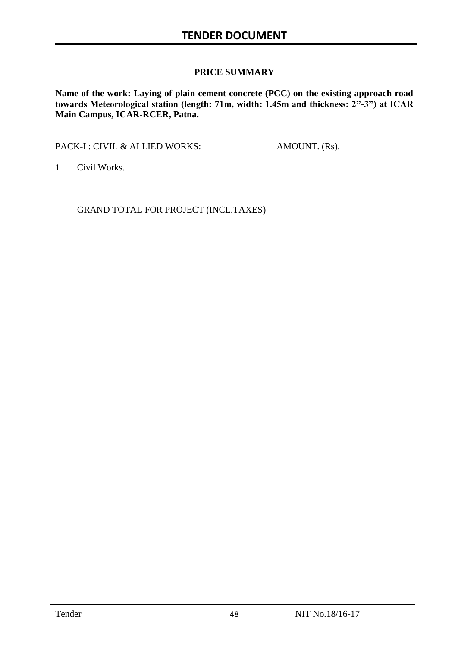#### **PRICE SUMMARY**

**Name of the work: Laying of plain cement concrete (PCC) on the existing approach road towards Meteorological station (length: 71m, width: 1.45m and thickness: 2"-3") at ICAR Main Campus, ICAR-RCER, Patna.**

PACK-I : CIVIL & ALLIED WORKS: AMOUNT. (Rs).

1 Civil Works.

GRAND TOTAL FOR PROJECT (INCL.TAXES)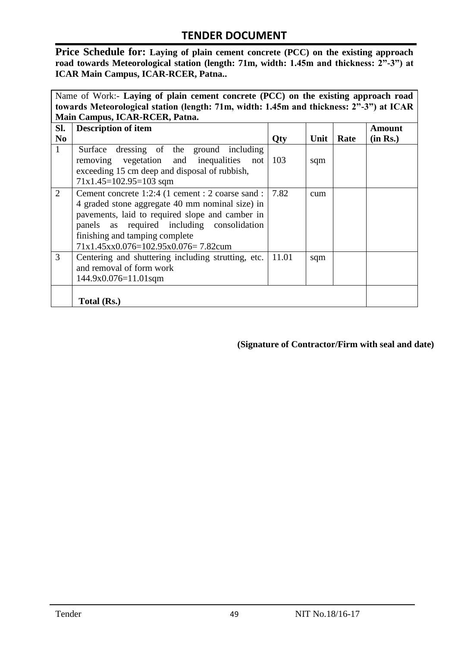**Price Schedule for: Laying of plain cement concrete (PCC) on the existing approach road towards Meteorological station (length: 71m, width: 1.45m and thickness: 2"-3") at ICAR Main Campus, ICAR-RCER, Patna..**

| Name of Work:- Laying of plain cement concrete (PCC) on the existing approach road      |                                                    |       |      |      |          |  |  |  |
|-----------------------------------------------------------------------------------------|----------------------------------------------------|-------|------|------|----------|--|--|--|
| towards Meteorological station (length: 71m, width: 1.45m and thickness: 2"-3") at ICAR |                                                    |       |      |      |          |  |  |  |
|                                                                                         | Main Campus, ICAR-RCER, Patna.                     |       |      |      |          |  |  |  |
| SI.                                                                                     | <b>Description of item</b>                         |       |      |      | Amount   |  |  |  |
| N <sub>0</sub>                                                                          |                                                    | Qty   | Unit | Rate | (in Rs.) |  |  |  |
| $\mathbf{1}$                                                                            | Surface dressing of the ground including           |       |      |      |          |  |  |  |
|                                                                                         | removing vegetation and inequalities<br>not        | 103   | sqm  |      |          |  |  |  |
|                                                                                         | exceeding 15 cm deep and disposal of rubbish,      |       |      |      |          |  |  |  |
|                                                                                         | $71x1.45=102.95=103$ sqm                           |       |      |      |          |  |  |  |
| 2                                                                                       | Cement concrete 1:2:4 (1 cement : 2 coarse sand :  | 7.82  | cum  |      |          |  |  |  |
|                                                                                         | 4 graded stone aggregate 40 mm nominal size) in    |       |      |      |          |  |  |  |
|                                                                                         | pavements, laid to required slope and camber in    |       |      |      |          |  |  |  |
|                                                                                         | panels as required including consolidation         |       |      |      |          |  |  |  |
|                                                                                         | finishing and tamping complete                     |       |      |      |          |  |  |  |
|                                                                                         | 71x1.45xx0.076=102.95x0.076=7.82cum                |       |      |      |          |  |  |  |
| 3                                                                                       | Centering and shuttering including strutting, etc. | 11.01 | sqm  |      |          |  |  |  |
|                                                                                         | and removal of form work                           |       |      |      |          |  |  |  |
|                                                                                         | $144.9x0.076=11.01$ sqm                            |       |      |      |          |  |  |  |
|                                                                                         |                                                    |       |      |      |          |  |  |  |
|                                                                                         | Total (Rs.)                                        |       |      |      |          |  |  |  |

**(Signature of Contractor/Firm with seal and date)**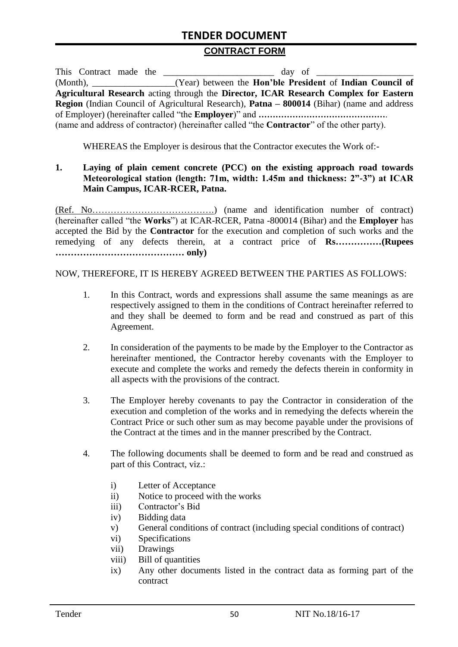#### **CONTRACT FORM**

|  |  | This Contract made the                                                                                   |
|--|--|----------------------------------------------------------------------------------------------------------|
|  |  | (Month), __________________(Year) between the <b>Hon'ble President</b> of <b>Indian Council of</b>       |
|  |  | Agricultural Research acting through the Director, ICAR Research Complex for Eastern                     |
|  |  | <b>Region</b> (Indian Council of Agricultural Research), <b>Patna – 800014</b> (Bihar) (name and address |
|  |  |                                                                                                          |
|  |  | (name and address of contractor) (hereinafter called "the <b>Contractor</b> " of the other party).       |

WHEREAS the Employer is desirous that the Contractor executes the Work of:-

#### **1. Laying of plain cement concrete (PCC) on the existing approach road towards Meteorological station (length: 71m, width: 1.45m and thickness: 2"-3") at ICAR Main Campus, ICAR-RCER, Patna.**

(Ref. No………………………………….) (name and identification number of contract) (hereinafter called "the **Works**") at ICAR-RCER, Patna -800014 (Bihar) and the **Employer** has accepted the Bid by the **Contractor** for the execution and completion of such works and the remedying of any defects therein, at a contract price of **Rs……………(Rupees …………………………………… only)**

NOW, THEREFORE, IT IS HEREBY AGREED BETWEEN THE PARTIES AS FOLLOWS:

- 1. In this Contract, words and expressions shall assume the same meanings as are respectively assigned to them in the conditions of Contract hereinafter referred to and they shall be deemed to form and be read and construed as part of this Agreement.
- 2. In consideration of the payments to be made by the Employer to the Contractor as hereinafter mentioned, the Contractor hereby covenants with the Employer to execute and complete the works and remedy the defects therein in conformity in all aspects with the provisions of the contract.
- 3. The Employer hereby covenants to pay the Contractor in consideration of the execution and completion of the works and in remedying the defects wherein the Contract Price or such other sum as may become payable under the provisions of the Contract at the times and in the manner prescribed by the Contract.
- 4. The following documents shall be deemed to form and be read and construed as part of this Contract, viz.:
	- i) Letter of Acceptance
	- ii) Notice to proceed with the works
	- iii) Contractor"s Bid
	- iv) Bidding data
	- v) General conditions of contract (including special conditions of contract)
	- vi) Specifications
	- vii) Drawings
	- viii) Bill of quantities
	- ix) Any other documents listed in the contract data as forming part of the contract